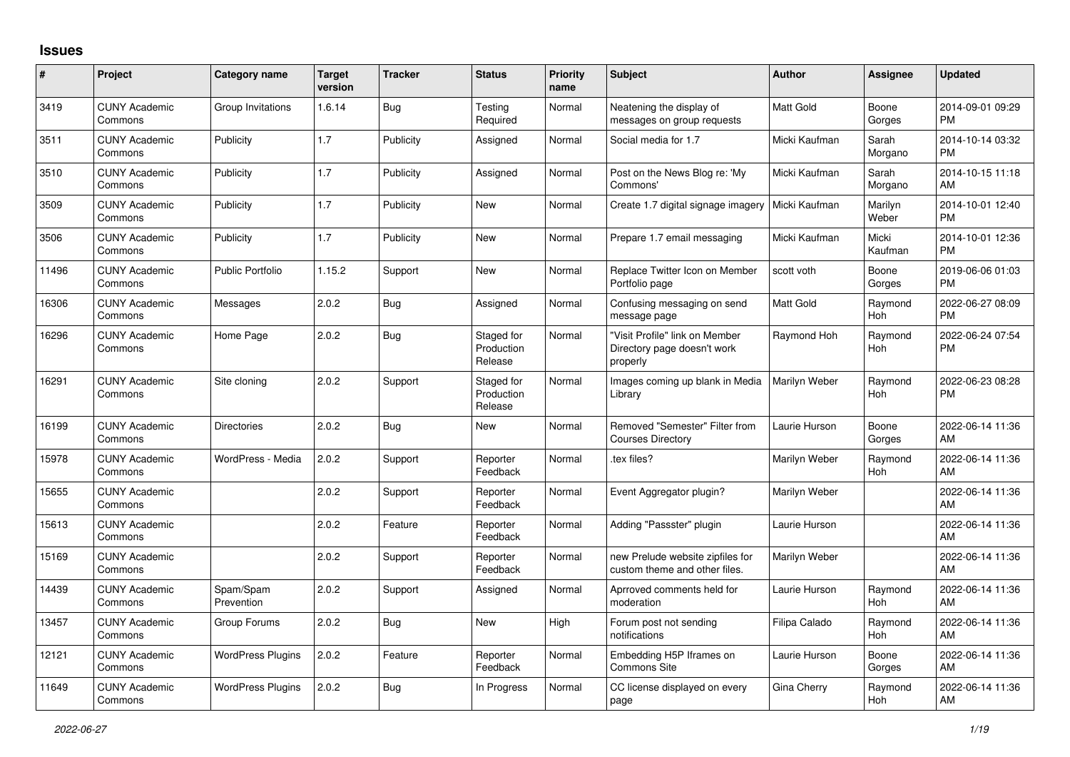## **Issues**

| #     | Project                         | <b>Category name</b>     | <b>Target</b><br>version | <b>Tracker</b> | <b>Status</b>                       | <b>Priority</b><br>name | <b>Subject</b>                                                            | <b>Author</b>    | <b>Assignee</b>       | <b>Updated</b>                |
|-------|---------------------------------|--------------------------|--------------------------|----------------|-------------------------------------|-------------------------|---------------------------------------------------------------------------|------------------|-----------------------|-------------------------------|
| 3419  | <b>CUNY Academic</b><br>Commons | Group Invitations        | 1.6.14                   | Bug            | Testing<br>Required                 | Normal                  | Neatening the display of<br>messages on group requests                    | <b>Matt Gold</b> | Boone<br>Gorges       | 2014-09-01 09:29<br><b>PM</b> |
| 3511  | <b>CUNY Academic</b><br>Commons | Publicity                | 1.7                      | Publicity      | Assigned                            | Normal                  | Social media for 1.7                                                      | Micki Kaufman    | Sarah<br>Morgano      | 2014-10-14 03:32<br><b>PM</b> |
| 3510  | <b>CUNY Academic</b><br>Commons | Publicity                | 1.7                      | Publicity      | Assigned                            | Normal                  | Post on the News Blog re: 'My<br>Commons'                                 | Micki Kaufman    | Sarah<br>Morgano      | 2014-10-15 11:18<br>AM        |
| 3509  | <b>CUNY Academic</b><br>Commons | Publicity                | 1.7                      | Publicity      | <b>New</b>                          | Normal                  | Create 1.7 digital signage imagery                                        | Micki Kaufman    | Marilyn<br>Weber      | 2014-10-01 12:40<br><b>PM</b> |
| 3506  | <b>CUNY Academic</b><br>Commons | Publicity                | 1.7                      | Publicity      | New                                 | Normal                  | Prepare 1.7 email messaging                                               | Micki Kaufman    | Micki<br>Kaufman      | 2014-10-01 12:36<br><b>PM</b> |
| 11496 | <b>CUNY Academic</b><br>Commons | <b>Public Portfolio</b>  | 1.15.2                   | Support        | <b>New</b>                          | Normal                  | Replace Twitter Icon on Member<br>Portfolio page                          | scott voth       | Boone<br>Gorges       | 2019-06-06 01:03<br><b>PM</b> |
| 16306 | <b>CUNY Academic</b><br>Commons | Messages                 | 2.0.2                    | <b>Bug</b>     | Assigned                            | Normal                  | Confusing messaging on send<br>message page                               | <b>Matt Gold</b> | Raymond<br>Hoh        | 2022-06-27 08:09<br><b>PM</b> |
| 16296 | <b>CUNY Academic</b><br>Commons | Home Page                | 2.0.2                    | Bug            | Staged for<br>Production<br>Release | Normal                  | "Visit Profile" link on Member<br>Directory page doesn't work<br>properly | Raymond Hoh      | Raymond<br><b>Hoh</b> | 2022-06-24 07:54<br><b>PM</b> |
| 16291 | <b>CUNY Academic</b><br>Commons | Site cloning             | 2.0.2                    | Support        | Staged for<br>Production<br>Release | Normal                  | Images coming up blank in Media<br>Library                                | Marilyn Weber    | Raymond<br><b>Hoh</b> | 2022-06-23 08:28<br><b>PM</b> |
| 16199 | <b>CUNY Academic</b><br>Commons | <b>Directories</b>       | 2.0.2                    | Bug            | <b>New</b>                          | Normal                  | Removed "Semester" Filter from<br><b>Courses Directory</b>                | Laurie Hurson    | Boone<br>Gorges       | 2022-06-14 11:36<br>AM        |
| 15978 | <b>CUNY Academic</b><br>Commons | WordPress - Media        | 2.0.2                    | Support        | Reporter<br>Feedback                | Normal                  | .tex files?                                                               | Marilyn Weber    | Raymond<br><b>Hoh</b> | 2022-06-14 11:36<br>AM        |
| 15655 | <b>CUNY Academic</b><br>Commons |                          | 2.0.2                    | Support        | Reporter<br>Feedback                | Normal                  | Event Aggregator plugin?                                                  | Marilyn Weber    |                       | 2022-06-14 11:36<br>AM        |
| 15613 | <b>CUNY Academic</b><br>Commons |                          | 2.0.2                    | Feature        | Reporter<br>Feedback                | Normal                  | Adding "Passster" plugin                                                  | Laurie Hurson    |                       | 2022-06-14 11:36<br>AM        |
| 15169 | <b>CUNY Academic</b><br>Commons |                          | 2.0.2                    | Support        | Reporter<br>Feedback                | Normal                  | new Prelude website zipfiles for<br>custom theme and other files.         | Marilyn Weber    |                       | 2022-06-14 11:36<br>AM        |
| 14439 | <b>CUNY Academic</b><br>Commons | Spam/Spam<br>Prevention  | 2.0.2                    | Support        | Assigned                            | Normal                  | Aprroved comments held for<br>moderation                                  | Laurie Hurson    | Raymond<br>Hoh        | 2022-06-14 11:36<br>AM        |
| 13457 | <b>CUNY Academic</b><br>Commons | Group Forums             | 2.0.2                    | <b>Bug</b>     | <b>New</b>                          | High                    | Forum post not sending<br>notifications                                   | Filipa Calado    | Raymond<br><b>Hoh</b> | 2022-06-14 11:36<br>AM        |
| 12121 | <b>CUNY Academic</b><br>Commons | <b>WordPress Plugins</b> | 2.0.2                    | Feature        | Reporter<br>Feedback                | Normal                  | Embedding H5P Iframes on<br><b>Commons Site</b>                           | Laurie Hurson    | Boone<br>Gorges       | 2022-06-14 11:36<br>AM        |
| 11649 | <b>CUNY Academic</b><br>Commons | <b>WordPress Plugins</b> | 2.0.2                    | Bug            | In Progress                         | Normal                  | CC license displayed on every<br>page                                     | Gina Cherry      | Raymond<br>Hoh        | 2022-06-14 11:36<br>AM        |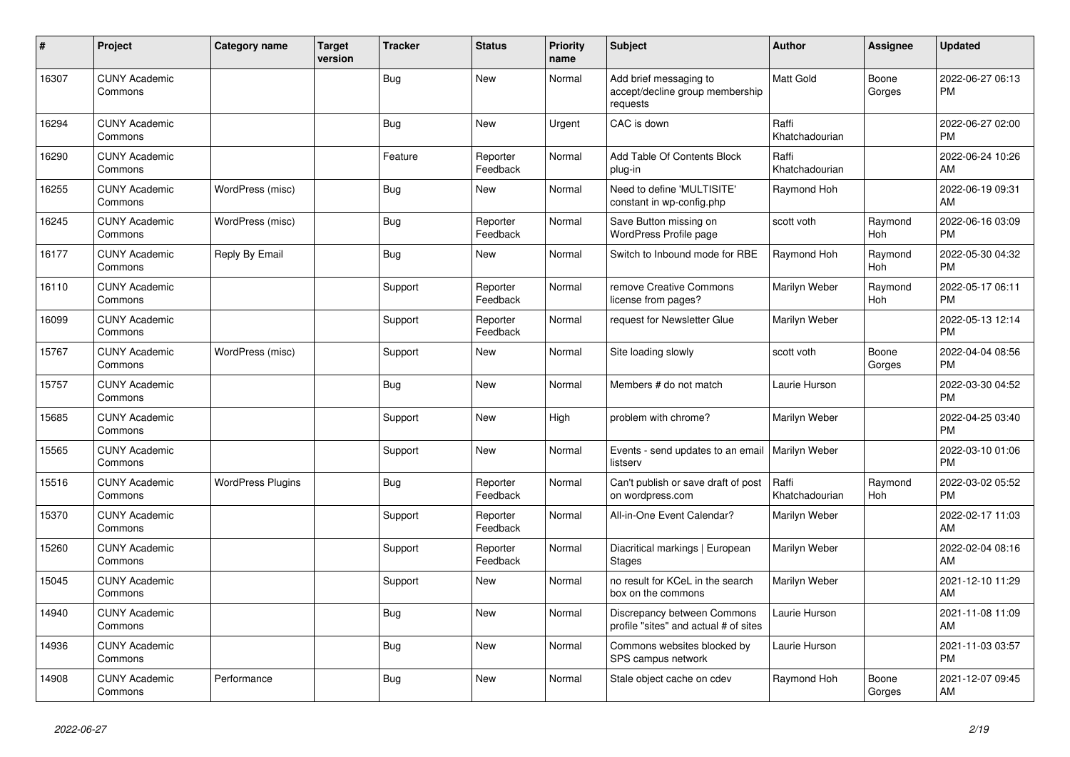| #     | Project                         | <b>Category name</b>     | <b>Target</b><br>version | <b>Tracker</b> | <b>Status</b>        | <b>Priority</b><br>name | <b>Subject</b>                                                        | <b>Author</b>           | <b>Assignee</b> | <b>Updated</b>                |
|-------|---------------------------------|--------------------------|--------------------------|----------------|----------------------|-------------------------|-----------------------------------------------------------------------|-------------------------|-----------------|-------------------------------|
| 16307 | <b>CUNY Academic</b><br>Commons |                          |                          | <b>Bug</b>     | <b>New</b>           | Normal                  | Add brief messaging to<br>accept/decline group membership<br>requests | <b>Matt Gold</b>        | Boone<br>Gorges | 2022-06-27 06:13<br><b>PM</b> |
| 16294 | <b>CUNY Academic</b><br>Commons |                          |                          | Bug            | <b>New</b>           | Urgent                  | CAC is down                                                           | Raffi<br>Khatchadourian |                 | 2022-06-27 02:00<br><b>PM</b> |
| 16290 | <b>CUNY Academic</b><br>Commons |                          |                          | Feature        | Reporter<br>Feedback | Normal                  | Add Table Of Contents Block<br>plug-in                                | Raffi<br>Khatchadourian |                 | 2022-06-24 10:26<br>AM        |
| 16255 | <b>CUNY Academic</b><br>Commons | WordPress (misc)         |                          | Bug            | New                  | Normal                  | Need to define 'MULTISITE'<br>constant in wp-config.php               | Raymond Hoh             |                 | 2022-06-19 09:31<br>AM        |
| 16245 | <b>CUNY Academic</b><br>Commons | WordPress (misc)         |                          | <b>Bug</b>     | Reporter<br>Feedback | Normal                  | Save Button missing on<br>WordPress Profile page                      | scott voth              | Raymond<br>Hoh  | 2022-06-16 03:09<br><b>PM</b> |
| 16177 | <b>CUNY Academic</b><br>Commons | Reply By Email           |                          | Bug            | <b>New</b>           | Normal                  | Switch to Inbound mode for RBE                                        | Raymond Hoh             | Raymond<br>Hoh  | 2022-05-30 04:32<br><b>PM</b> |
| 16110 | <b>CUNY Academic</b><br>Commons |                          |                          | Support        | Reporter<br>Feedback | Normal                  | remove Creative Commons<br>license from pages?                        | Marilyn Weber           | Raymond<br>Hoh  | 2022-05-17 06:11<br><b>PM</b> |
| 16099 | <b>CUNY Academic</b><br>Commons |                          |                          | Support        | Reporter<br>Feedback | Normal                  | request for Newsletter Glue                                           | Marilyn Weber           |                 | 2022-05-13 12:14<br><b>PM</b> |
| 15767 | <b>CUNY Academic</b><br>Commons | WordPress (misc)         |                          | Support        | <b>New</b>           | Normal                  | Site loading slowly                                                   | scott voth              | Boone<br>Gorges | 2022-04-04 08:56<br><b>PM</b> |
| 15757 | <b>CUNY Academic</b><br>Commons |                          |                          | <b>Bug</b>     | <b>New</b>           | Normal                  | Members # do not match                                                | Laurie Hurson           |                 | 2022-03-30 04:52<br><b>PM</b> |
| 15685 | <b>CUNY Academic</b><br>Commons |                          |                          | Support        | <b>New</b>           | High                    | problem with chrome?                                                  | Marilyn Weber           |                 | 2022-04-25 03:40<br><b>PM</b> |
| 15565 | <b>CUNY Academic</b><br>Commons |                          |                          | Support        | <b>New</b>           | Normal                  | Events - send updates to an email   Marilyn Weber<br>listserv         |                         |                 | 2022-03-10 01:06<br><b>PM</b> |
| 15516 | <b>CUNY Academic</b><br>Commons | <b>WordPress Plugins</b> |                          | Bug            | Reporter<br>Feedback | Normal                  | Can't publish or save draft of post<br>on wordpress.com               | Raffi<br>Khatchadourian | Raymond<br>Hoh  | 2022-03-02 05:52<br><b>PM</b> |
| 15370 | <b>CUNY Academic</b><br>Commons |                          |                          | Support        | Reporter<br>Feedback | Normal                  | All-in-One Event Calendar?                                            | Marilyn Weber           |                 | 2022-02-17 11:03<br>AM        |
| 15260 | <b>CUNY Academic</b><br>Commons |                          |                          | Support        | Reporter<br>Feedback | Normal                  | Diacritical markings   European<br>Stages                             | Marilyn Weber           |                 | 2022-02-04 08:16<br>AM        |
| 15045 | <b>CUNY Academic</b><br>Commons |                          |                          | Support        | <b>New</b>           | Normal                  | no result for KCeL in the search<br>box on the commons                | Marilyn Weber           |                 | 2021-12-10 11:29<br>AM        |
| 14940 | <b>CUNY Academic</b><br>Commons |                          |                          | <b>Bug</b>     | <b>New</b>           | Normal                  | Discrepancy between Commons<br>profile "sites" and actual # of sites  | Laurie Hurson           |                 | 2021-11-08 11:09<br>AM        |
| 14936 | <b>CUNY Academic</b><br>Commons |                          |                          | <b>Bug</b>     | <b>New</b>           | Normal                  | Commons websites blocked by<br>SPS campus network                     | Laurie Hurson           |                 | 2021-11-03 03:57<br><b>PM</b> |
| 14908 | <b>CUNY Academic</b><br>Commons | Performance              |                          | Bug            | <b>New</b>           | Normal                  | Stale object cache on cdev                                            | Raymond Hoh             | Boone<br>Gorges | 2021-12-07 09:45<br>AM        |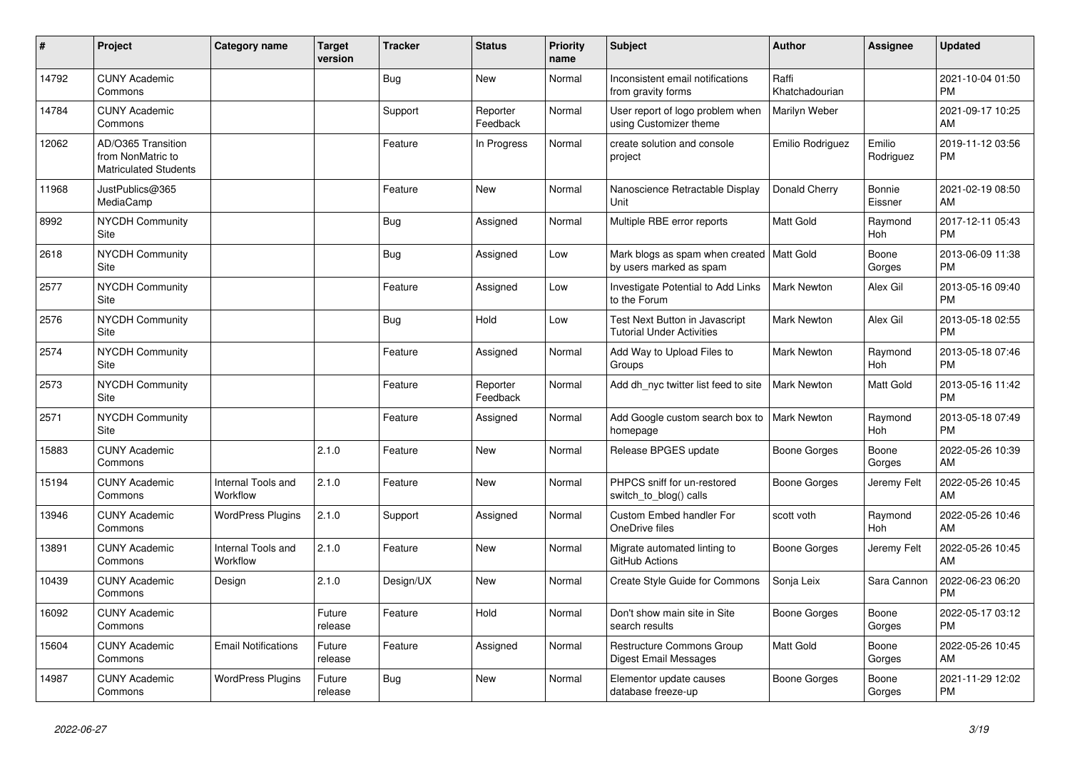| ∦     | Project                                                                 | <b>Category name</b>           | <b>Target</b><br>version | <b>Tracker</b> | <b>Status</b>        | <b>Priority</b><br>name | <b>Subject</b>                                                         | <b>Author</b>           | <b>Assignee</b>       | <b>Updated</b>                |
|-------|-------------------------------------------------------------------------|--------------------------------|--------------------------|----------------|----------------------|-------------------------|------------------------------------------------------------------------|-------------------------|-----------------------|-------------------------------|
| 14792 | <b>CUNY Academic</b><br>Commons                                         |                                |                          | <b>Bug</b>     | New                  | Normal                  | Inconsistent email notifications<br>from gravity forms                 | Raffi<br>Khatchadourian |                       | 2021-10-04 01:50<br><b>PM</b> |
| 14784 | <b>CUNY Academic</b><br>Commons                                         |                                |                          | Support        | Reporter<br>Feedback | Normal                  | User report of logo problem when<br>using Customizer theme             | Marilyn Weber           |                       | 2021-09-17 10:25<br>AM        |
| 12062 | AD/O365 Transition<br>from NonMatric to<br><b>Matriculated Students</b> |                                |                          | Feature        | In Progress          | Normal                  | create solution and console<br>project                                 | Emilio Rodriguez        | Emilio<br>Rodriguez   | 2019-11-12 03:56<br><b>PM</b> |
| 11968 | JustPublics@365<br>MediaCamp                                            |                                |                          | Feature        | New                  | Normal                  | Nanoscience Retractable Display<br>Unit                                | Donald Cherry           | Bonnie<br>Eissner     | 2021-02-19 08:50<br>AM        |
| 8992  | <b>NYCDH Community</b><br>Site                                          |                                |                          | <b>Bug</b>     | Assigned             | Normal                  | Multiple RBE error reports                                             | Matt Gold               | Raymond<br><b>Hoh</b> | 2017-12-11 05:43<br><b>PM</b> |
| 2618  | <b>NYCDH Community</b><br>Site                                          |                                |                          | <b>Bug</b>     | Assigned             | Low                     | Mark blogs as spam when created   Matt Gold<br>by users marked as spam |                         | Boone<br>Gorges       | 2013-06-09 11:38<br><b>PM</b> |
| 2577  | <b>NYCDH Community</b><br>Site                                          |                                |                          | Feature        | Assigned             | Low                     | Investigate Potential to Add Links<br>to the Forum                     | Mark Newton             | Alex Gil              | 2013-05-16 09:40<br><b>PM</b> |
| 2576  | NYCDH Community<br>Site                                                 |                                |                          | <b>Bug</b>     | Hold                 | Low                     | Test Next Button in Javascript<br><b>Tutorial Under Activities</b>     | <b>Mark Newton</b>      | Alex Gil              | 2013-05-18 02:55<br><b>PM</b> |
| 2574  | NYCDH Community<br>Site                                                 |                                |                          | Feature        | Assigned             | Normal                  | Add Way to Upload Files to<br>Groups                                   | <b>Mark Newton</b>      | Raymond<br><b>Hoh</b> | 2013-05-18 07:46<br><b>PM</b> |
| 2573  | <b>NYCDH Community</b><br>Site                                          |                                |                          | Feature        | Reporter<br>Feedback | Normal                  | Add dh nyc twitter list feed to site                                   | <b>Mark Newton</b>      | Matt Gold             | 2013-05-16 11:42<br><b>PM</b> |
| 2571  | NYCDH Community<br>Site                                                 |                                |                          | Feature        | Assigned             | Normal                  | Add Google custom search box to   Mark Newton<br>homepage              |                         | Raymond<br><b>Hoh</b> | 2013-05-18 07:49<br><b>PM</b> |
| 15883 | <b>CUNY Academic</b><br>Commons                                         |                                | 2.1.0                    | Feature        | <b>New</b>           | Normal                  | Release BPGES update                                                   | Boone Gorges            | Boone<br>Gorges       | 2022-05-26 10:39<br>AM        |
| 15194 | <b>CUNY Academic</b><br>Commons                                         | Internal Tools and<br>Workflow | 2.1.0                    | Feature        | New                  | Normal                  | PHPCS sniff for un-restored<br>switch_to_blog() calls                  | Boone Gorges            | Jeremy Felt           | 2022-05-26 10:45<br>AM        |
| 13946 | <b>CUNY Academic</b><br>Commons                                         | <b>WordPress Plugins</b>       | 2.1.0                    | Support        | Assigned             | Normal                  | Custom Embed handler For<br>OneDrive files                             | scott voth              | Raymond<br>Hoh        | 2022-05-26 10:46<br>AM        |
| 13891 | <b>CUNY Academic</b><br>Commons                                         | Internal Tools and<br>Workflow | 2.1.0                    | Feature        | New                  | Normal                  | Migrate automated linting to<br>GitHub Actions                         | Boone Gorges            | Jeremy Felt           | 2022-05-26 10:45<br>AM        |
| 10439 | <b>CUNY Academic</b><br>Commons                                         | Design                         | 2.1.0                    | Design/UX      | <b>New</b>           | Normal                  | Create Style Guide for Commons                                         | Sonja Leix              | Sara Cannon           | 2022-06-23 06:20<br><b>PM</b> |
| 16092 | <b>CUNY Academic</b><br>Commons                                         |                                | Future<br>release        | Feature        | Hold                 | Normal                  | Don't show main site in Site<br>search results                         | Boone Gorges            | Boone<br>Gorges       | 2022-05-17 03:12<br><b>PM</b> |
| 15604 | <b>CUNY Academic</b><br>Commons                                         | <b>Email Notifications</b>     | Future<br>release        | Feature        | Assigned             | Normal                  | Restructure Commons Group<br>Digest Email Messages                     | <b>Matt Gold</b>        | Boone<br>Gorges       | 2022-05-26 10:45<br>AM        |
| 14987 | <b>CUNY Academic</b><br>Commons                                         | <b>WordPress Plugins</b>       | Future<br>release        | <b>Bug</b>     | <b>New</b>           | Normal                  | Elementor update causes<br>database freeze-up                          | Boone Gorges            | Boone<br>Gorges       | 2021-11-29 12:02<br><b>PM</b> |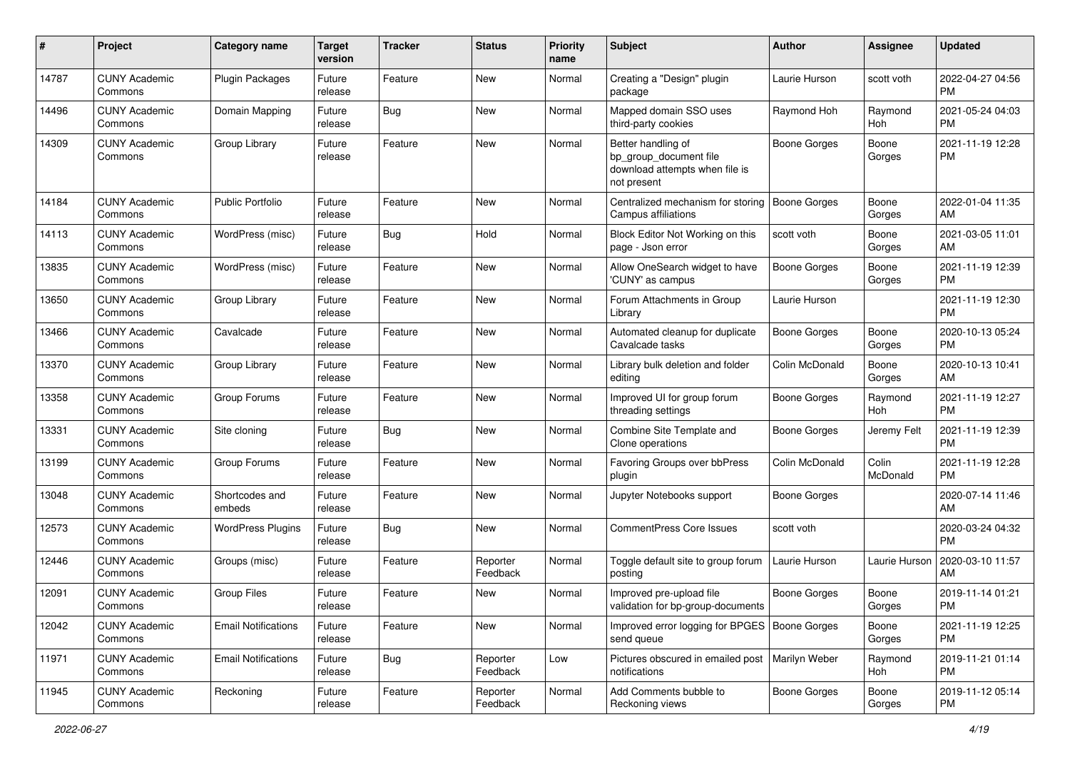| #     | Project                         | <b>Category name</b>       | <b>Target</b><br>version | <b>Tracker</b> | <b>Status</b>        | <b>Priority</b><br>name | <b>Subject</b>                                                                                | Author              | <b>Assignee</b>   | <b>Updated</b>                |
|-------|---------------------------------|----------------------------|--------------------------|----------------|----------------------|-------------------------|-----------------------------------------------------------------------------------------------|---------------------|-------------------|-------------------------------|
| 14787 | <b>CUNY Academic</b><br>Commons | <b>Plugin Packages</b>     | Future<br>release        | Feature        | New                  | Normal                  | Creating a "Design" plugin<br>package                                                         | Laurie Hurson       | scott voth        | 2022-04-27 04:56<br><b>PM</b> |
| 14496 | <b>CUNY Academic</b><br>Commons | Domain Mapping             | Future<br>release        | Bug            | New                  | Normal                  | Mapped domain SSO uses<br>third-party cookies                                                 | Raymond Hoh         | Raymond<br>Hoh    | 2021-05-24 04:03<br><b>PM</b> |
| 14309 | <b>CUNY Academic</b><br>Commons | Group Library              | Future<br>release        | Feature        | New                  | Normal                  | Better handling of<br>bp group document file<br>download attempts when file is<br>not present | <b>Boone Gorges</b> | Boone<br>Gorges   | 2021-11-19 12:28<br><b>PM</b> |
| 14184 | <b>CUNY Academic</b><br>Commons | <b>Public Portfolio</b>    | Future<br>release        | Feature        | New                  | Normal                  | Centralized mechanism for storing<br><b>Campus affiliations</b>                               | <b>Boone Gorges</b> | Boone<br>Gorges   | 2022-01-04 11:35<br>AM        |
| 14113 | <b>CUNY Academic</b><br>Commons | WordPress (misc)           | Future<br>release        | Bug            | Hold                 | Normal                  | Block Editor Not Working on this<br>page - Json error                                         | scott voth          | Boone<br>Gorges   | 2021-03-05 11:01<br>AM        |
| 13835 | <b>CUNY Academic</b><br>Commons | WordPress (misc)           | Future<br>release        | Feature        | New                  | Normal                  | Allow OneSearch widget to have<br>'CUNY' as campus                                            | Boone Gorges        | Boone<br>Gorges   | 2021-11-19 12:39<br><b>PM</b> |
| 13650 | <b>CUNY Academic</b><br>Commons | Group Library              | Future<br>release        | Feature        | <b>New</b>           | Normal                  | Forum Attachments in Group<br>Library                                                         | Laurie Hurson       |                   | 2021-11-19 12:30<br><b>PM</b> |
| 13466 | <b>CUNY Academic</b><br>Commons | Cavalcade                  | Future<br>release        | Feature        | New                  | Normal                  | Automated cleanup for duplicate<br>Cavalcade tasks                                            | <b>Boone Gorges</b> | Boone<br>Gorges   | 2020-10-13 05:24<br><b>PM</b> |
| 13370 | <b>CUNY Academic</b><br>Commons | Group Library              | Future<br>release        | Feature        | <b>New</b>           | Normal                  | Library bulk deletion and folder<br>editing                                                   | Colin McDonald      | Boone<br>Gorges   | 2020-10-13 10:41<br>AM        |
| 13358 | <b>CUNY Academic</b><br>Commons | Group Forums               | Future<br>release        | Feature        | <b>New</b>           | Normal                  | Improved UI for group forum<br>threading settings                                             | <b>Boone Gorges</b> | Raymond<br>Hoh    | 2021-11-19 12:27<br><b>PM</b> |
| 13331 | <b>CUNY Academic</b><br>Commons | Site cloning               | Future<br>release        | <b>Bug</b>     | New                  | Normal                  | Combine Site Template and<br>Clone operations                                                 | Boone Gorges        | Jeremy Felt       | 2021-11-19 12:39<br><b>PM</b> |
| 13199 | <b>CUNY Academic</b><br>Commons | Group Forums               | Future<br>release        | Feature        | <b>New</b>           | Normal                  | Favoring Groups over bbPress<br>plugin                                                        | Colin McDonald      | Colin<br>McDonald | 2021-11-19 12:28<br>PM        |
| 13048 | <b>CUNY Academic</b><br>Commons | Shortcodes and<br>embeds   | Future<br>release        | Feature        | New                  | Normal                  | Jupyter Notebooks support                                                                     | Boone Gorges        |                   | 2020-07-14 11:46<br>AM        |
| 12573 | <b>CUNY Academic</b><br>Commons | <b>WordPress Plugins</b>   | Future<br>release        | Bug            | <b>New</b>           | Normal                  | <b>CommentPress Core Issues</b>                                                               | scott voth          |                   | 2020-03-24 04:32<br><b>PM</b> |
| 12446 | <b>CUNY Academic</b><br>Commons | Groups (misc)              | Future<br>release        | Feature        | Reporter<br>Feedback | Normal                  | Toggle default site to group forum<br>posting                                                 | Laurie Hurson       | Laurie Hurson     | 2020-03-10 11:57<br>AM        |
| 12091 | <b>CUNY Academic</b><br>Commons | <b>Group Files</b>         | Future<br>release        | Feature        | New                  | Normal                  | Improved pre-upload file<br>validation for bp-group-documents                                 | Boone Gorges        | Boone<br>Gorges   | 2019-11-14 01:21<br>PM        |
| 12042 | <b>CUNY Academic</b><br>Commons | <b>Email Notifications</b> | Future<br>release        | Feature        | New                  | Normal                  | Improved error logging for BPGES   Boone Gorges<br>send queue                                 |                     | Boone<br>Gorges   | 2021-11-19 12:25<br><b>PM</b> |
| 11971 | <b>CUNY Academic</b><br>Commons | <b>Email Notifications</b> | Future<br>release        | <b>Bug</b>     | Reporter<br>Feedback | Low                     | Pictures obscured in emailed post   Marilyn Weber<br>notifications                            |                     | Raymond<br>Hoh    | 2019-11-21 01:14<br>PM        |
| 11945 | <b>CUNY Academic</b><br>Commons | Reckoning                  | Future<br>release        | Feature        | Reporter<br>Feedback | Normal                  | Add Comments bubble to<br>Reckoning views                                                     | <b>Boone Gorges</b> | Boone<br>Gorges   | 2019-11-12 05:14<br>PM        |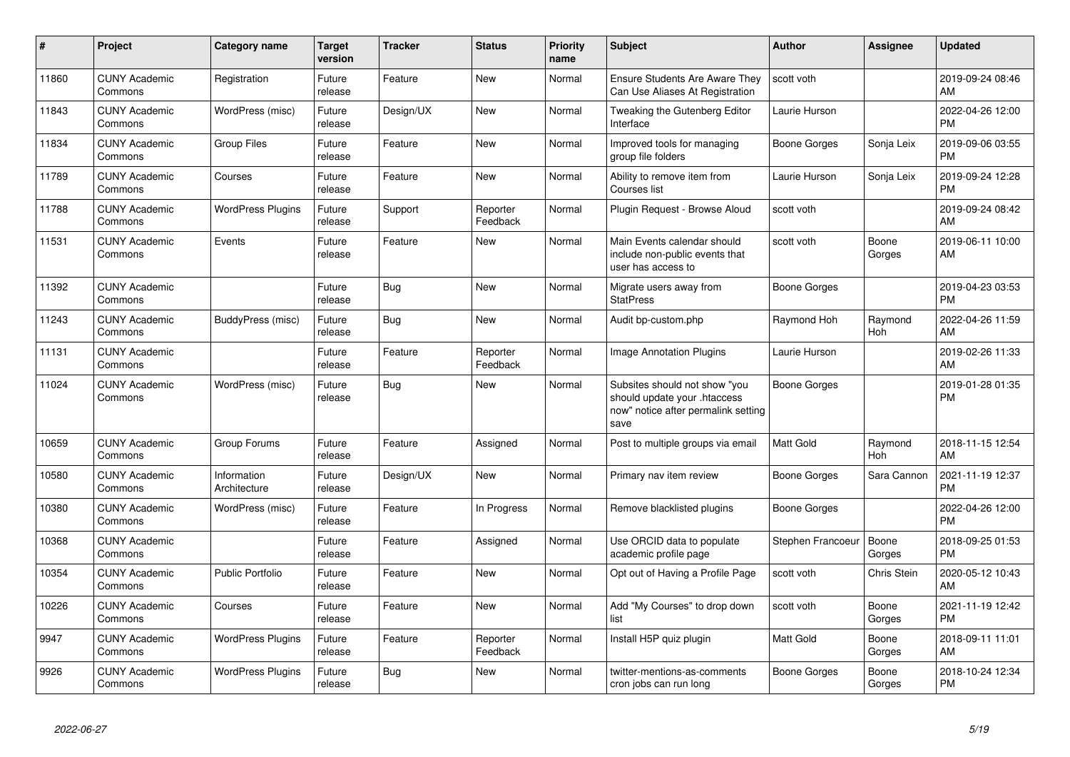| #     | Project                         | <b>Category name</b>        | Target<br>version | <b>Tracker</b> | <b>Status</b>        | <b>Priority</b><br>name | <b>Subject</b>                                                                                               | <b>Author</b>       | <b>Assignee</b> | <b>Updated</b>                |
|-------|---------------------------------|-----------------------------|-------------------|----------------|----------------------|-------------------------|--------------------------------------------------------------------------------------------------------------|---------------------|-----------------|-------------------------------|
| 11860 | <b>CUNY Academic</b><br>Commons | Registration                | Future<br>release | Feature        | <b>New</b>           | Normal                  | <b>Ensure Students Are Aware They</b><br>Can Use Aliases At Registration                                     | scott voth          |                 | 2019-09-24 08:46<br>AM        |
| 11843 | <b>CUNY Academic</b><br>Commons | WordPress (misc)            | Future<br>release | Design/UX      | <b>New</b>           | Normal                  | Tweaking the Gutenberg Editor<br>Interface                                                                   | Laurie Hurson       |                 | 2022-04-26 12:00<br><b>PM</b> |
| 11834 | <b>CUNY Academic</b><br>Commons | Group Files                 | Future<br>release | Feature        | New                  | Normal                  | Improved tools for managing<br>group file folders                                                            | Boone Gorges        | Sonja Leix      | 2019-09-06 03:55<br><b>PM</b> |
| 11789 | <b>CUNY Academic</b><br>Commons | Courses                     | Future<br>release | Feature        | <b>New</b>           | Normal                  | Ability to remove item from<br>Courses list                                                                  | Laurie Hurson       | Sonja Leix      | 2019-09-24 12:28<br><b>PM</b> |
| 11788 | <b>CUNY Academic</b><br>Commons | <b>WordPress Plugins</b>    | Future<br>release | Support        | Reporter<br>Feedback | Normal                  | Plugin Request - Browse Aloud                                                                                | scott voth          |                 | 2019-09-24 08:42<br>AM        |
| 11531 | <b>CUNY Academic</b><br>Commons | Events                      | Future<br>release | Feature        | <b>New</b>           | Normal                  | Main Events calendar should<br>include non-public events that<br>user has access to                          | scott voth          | Boone<br>Gorges | 2019-06-11 10:00<br>AM        |
| 11392 | <b>CUNY Academic</b><br>Commons |                             | Future<br>release | Bug            | <b>New</b>           | Normal                  | Migrate users away from<br><b>StatPress</b>                                                                  | <b>Boone Gorges</b> |                 | 2019-04-23 03:53<br><b>PM</b> |
| 11243 | <b>CUNY Academic</b><br>Commons | BuddyPress (misc)           | Future<br>release | Bug            | New                  | Normal                  | Audit bp-custom.php                                                                                          | Raymond Hoh         | Raymond<br>Hoh  | 2022-04-26 11:59<br>AM        |
| 11131 | <b>CUNY Academic</b><br>Commons |                             | Future<br>release | Feature        | Reporter<br>Feedback | Normal                  | <b>Image Annotation Plugins</b>                                                                              | Laurie Hurson       |                 | 2019-02-26 11:33<br>AM        |
| 11024 | <b>CUNY Academic</b><br>Commons | WordPress (misc)            | Future<br>release | <b>Bug</b>     | New                  | Normal                  | Subsites should not show "you<br>should update your .htaccess<br>now" notice after permalink setting<br>save | <b>Boone Gorges</b> |                 | 2019-01-28 01:35<br><b>PM</b> |
| 10659 | <b>CUNY Academic</b><br>Commons | Group Forums                | Future<br>release | Feature        | Assigned             | Normal                  | Post to multiple groups via email                                                                            | <b>Matt Gold</b>    | Raymond<br>Hoh  | 2018-11-15 12:54<br>AM        |
| 10580 | <b>CUNY Academic</b><br>Commons | Information<br>Architecture | Future<br>release | Design/UX      | New                  | Normal                  | Primary nav item review                                                                                      | Boone Gorges        | Sara Cannon     | 2021-11-19 12:37<br><b>PM</b> |
| 10380 | <b>CUNY Academic</b><br>Commons | WordPress (misc)            | Future<br>release | Feature        | In Progress          | Normal                  | Remove blacklisted plugins                                                                                   | Boone Gorges        |                 | 2022-04-26 12:00<br><b>PM</b> |
| 10368 | <b>CUNY Academic</b><br>Commons |                             | Future<br>release | Feature        | Assigned             | Normal                  | Use ORCID data to populate<br>academic profile page                                                          | Stephen Francoeur   | Boone<br>Gorges | 2018-09-25 01:53<br><b>PM</b> |
| 10354 | <b>CUNY Academic</b><br>Commons | <b>Public Portfolio</b>     | Future<br>release | Feature        | <b>New</b>           | Normal                  | Opt out of Having a Profile Page                                                                             | scott voth          | Chris Stein     | 2020-05-12 10:43<br>AM        |
| 10226 | <b>CUNY Academic</b><br>Commons | Courses                     | Future<br>release | Feature        | <b>New</b>           | Normal                  | Add "My Courses" to drop down<br>list                                                                        | scott voth          | Boone<br>Gorges | 2021-11-19 12:42<br><b>PM</b> |
| 9947  | <b>CUNY Academic</b><br>Commons | <b>WordPress Plugins</b>    | Future<br>release | Feature        | Reporter<br>Feedback | Normal                  | Install H5P quiz plugin                                                                                      | Matt Gold           | Boone<br>Gorges | 2018-09-11 11:01<br>AM        |
| 9926  | <b>CUNY Academic</b><br>Commons | <b>WordPress Plugins</b>    | Future<br>release | <b>Bug</b>     | <b>New</b>           | Normal                  | twitter-mentions-as-comments<br>cron jobs can run long                                                       | Boone Gorges        | Boone<br>Gorges | 2018-10-24 12:34<br><b>PM</b> |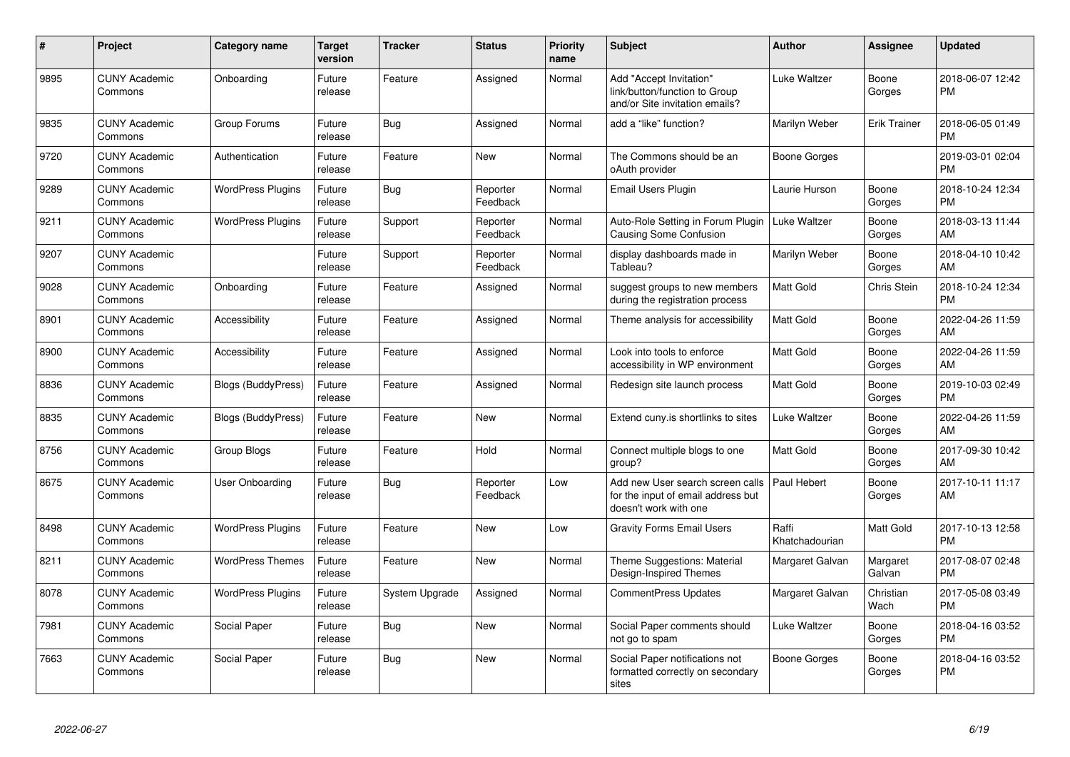| #    | Project                         | Category name             | <b>Target</b><br>version | <b>Tracker</b> | <b>Status</b>        | <b>Priority</b><br>name | <b>Subject</b>                                                                                  | <b>Author</b>           | Assignee            | <b>Updated</b>                |
|------|---------------------------------|---------------------------|--------------------------|----------------|----------------------|-------------------------|-------------------------------------------------------------------------------------------------|-------------------------|---------------------|-------------------------------|
| 9895 | <b>CUNY Academic</b><br>Commons | Onboarding                | Future<br>release        | Feature        | Assigned             | Normal                  | Add "Accept Invitation"<br>link/button/function to Group<br>and/or Site invitation emails?      | Luke Waltzer            | Boone<br>Gorges     | 2018-06-07 12:42<br><b>PM</b> |
| 9835 | <b>CUNY Academic</b><br>Commons | Group Forums              | Future<br>release        | Bug            | Assigned             | Normal                  | add a "like" function?                                                                          | Marilyn Weber           | <b>Erik Trainer</b> | 2018-06-05 01:49<br><b>PM</b> |
| 9720 | <b>CUNY Academic</b><br>Commons | Authentication            | Future<br>release        | Feature        | <b>New</b>           | Normal                  | The Commons should be an<br>oAuth provider                                                      | <b>Boone Gorges</b>     |                     | 2019-03-01 02:04<br><b>PM</b> |
| 9289 | <b>CUNY Academic</b><br>Commons | <b>WordPress Plugins</b>  | Future<br>release        | Bug            | Reporter<br>Feedback | Normal                  | Email Users Plugin                                                                              | Laurie Hurson           | Boone<br>Gorges     | 2018-10-24 12:34<br><b>PM</b> |
| 9211 | <b>CUNY Academic</b><br>Commons | <b>WordPress Plugins</b>  | Future<br>release        | Support        | Reporter<br>Feedback | Normal                  | Auto-Role Setting in Forum Plugin<br>Causing Some Confusion                                     | Luke Waltzer            | Boone<br>Gorges     | 2018-03-13 11:44<br>AM        |
| 9207 | <b>CUNY Academic</b><br>Commons |                           | Future<br>release        | Support        | Reporter<br>Feedback | Normal                  | display dashboards made in<br>Tableau?                                                          | Marilyn Weber           | Boone<br>Gorges     | 2018-04-10 10:42<br>AM        |
| 9028 | <b>CUNY Academic</b><br>Commons | Onboarding                | Future<br>release        | Feature        | Assigned             | Normal                  | suggest groups to new members<br>during the registration process                                | <b>Matt Gold</b>        | Chris Stein         | 2018-10-24 12:34<br><b>PM</b> |
| 8901 | <b>CUNY Academic</b><br>Commons | Accessibility             | Future<br>release        | Feature        | Assigned             | Normal                  | Theme analysis for accessibility                                                                | Matt Gold               | Boone<br>Gorges     | 2022-04-26 11:59<br>AM        |
| 8900 | <b>CUNY Academic</b><br>Commons | Accessibility             | Future<br>release        | Feature        | Assigned             | Normal                  | Look into tools to enforce<br>accessibility in WP environment                                   | Matt Gold               | Boone<br>Gorges     | 2022-04-26 11:59<br>AM        |
| 8836 | <b>CUNY Academic</b><br>Commons | <b>Blogs (BuddyPress)</b> | Future<br>release        | Feature        | Assigned             | Normal                  | Redesign site launch process                                                                    | Matt Gold               | Boone<br>Gorges     | 2019-10-03 02:49<br><b>PM</b> |
| 8835 | <b>CUNY Academic</b><br>Commons | <b>Blogs (BuddyPress)</b> | Future<br>release        | Feature        | New                  | Normal                  | Extend cuny.is shortlinks to sites                                                              | Luke Waltzer            | Boone<br>Gorges     | 2022-04-26 11:59<br>AM        |
| 8756 | <b>CUNY Academic</b><br>Commons | Group Blogs               | Future<br>release        | Feature        | Hold                 | Normal                  | Connect multiple blogs to one<br>group?                                                         | Matt Gold               | Boone<br>Gorges     | 2017-09-30 10:42<br>AM        |
| 8675 | <b>CUNY Academic</b><br>Commons | <b>User Onboarding</b>    | Future<br>release        | <b>Bug</b>     | Reporter<br>Feedback | Low                     | Add new User search screen calls<br>for the input of email address but<br>doesn't work with one | Paul Hebert             | Boone<br>Gorges     | 2017-10-11 11:17<br>AM        |
| 8498 | <b>CUNY Academic</b><br>Commons | <b>WordPress Plugins</b>  | Future<br>release        | Feature        | <b>New</b>           | Low                     | <b>Gravity Forms Email Users</b>                                                                | Raffi<br>Khatchadourian | Matt Gold           | 2017-10-13 12:58<br><b>PM</b> |
| 8211 | <b>CUNY Academic</b><br>Commons | <b>WordPress Themes</b>   | Future<br>release        | Feature        | New                  | Normal                  | Theme Suggestions: Material<br>Design-Inspired Themes                                           | Margaret Galvan         | Margaret<br>Galvan  | 2017-08-07 02:48<br><b>PM</b> |
| 8078 | <b>CUNY Academic</b><br>Commons | <b>WordPress Plugins</b>  | Future<br>release        | System Upgrade | Assigned             | Normal                  | <b>CommentPress Updates</b>                                                                     | Margaret Galvan         | Christian<br>Wach   | 2017-05-08 03:49<br><b>PM</b> |
| 7981 | <b>CUNY Academic</b><br>Commons | Social Paper              | Future<br>release        | <b>Bug</b>     | <b>New</b>           | Normal                  | Social Paper comments should<br>not go to spam                                                  | Luke Waltzer            | Boone<br>Gorges     | 2018-04-16 03:52<br><b>PM</b> |
| 7663 | <b>CUNY Academic</b><br>Commons | Social Paper              | Future<br>release        | <b>Bug</b>     | <b>New</b>           | Normal                  | Social Paper notifications not<br>formatted correctly on secondary<br>sites                     | <b>Boone Gorges</b>     | Boone<br>Gorges     | 2018-04-16 03:52<br><b>PM</b> |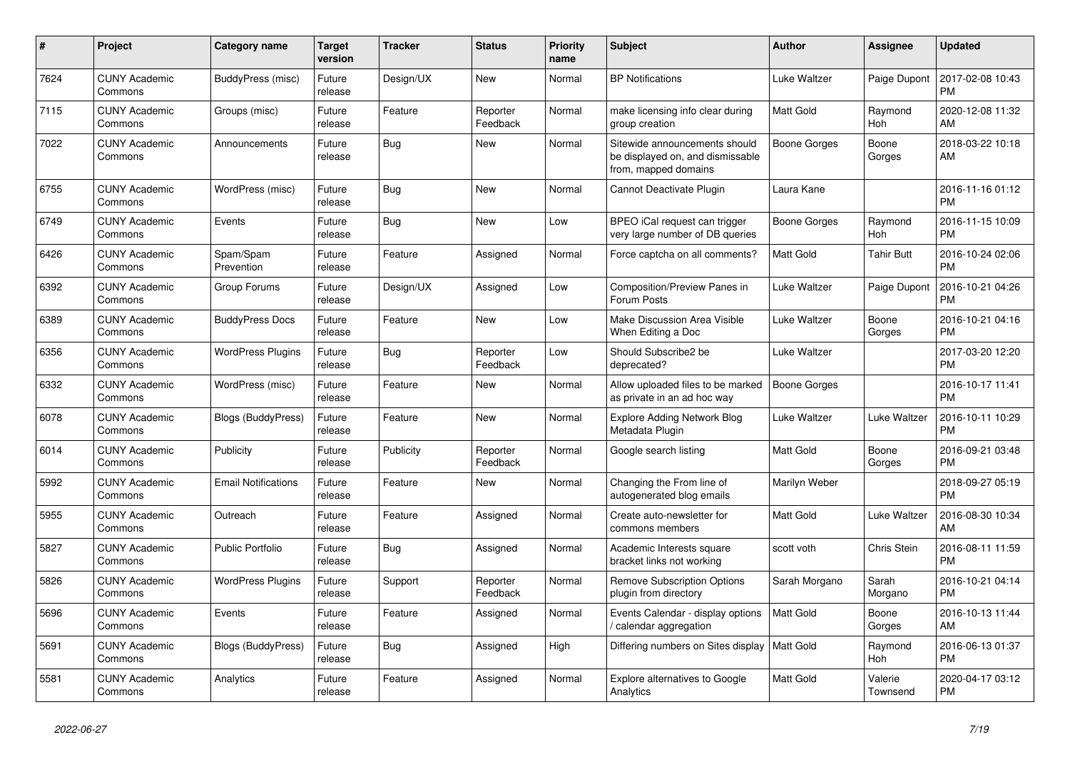| $\pmb{\#}$ | <b>Project</b>                  | Category name              | <b>Target</b><br>version | <b>Tracker</b> | <b>Status</b>        | <b>Priority</b><br>name | <b>Subject</b>                                                                            | <b>Author</b>       | <b>Assignee</b>     | <b>Updated</b>                |
|------------|---------------------------------|----------------------------|--------------------------|----------------|----------------------|-------------------------|-------------------------------------------------------------------------------------------|---------------------|---------------------|-------------------------------|
| 7624       | <b>CUNY Academic</b><br>Commons | BuddyPress (misc)          | Future<br>release        | Design/UX      | <b>New</b>           | Normal                  | <b>BP Notifications</b>                                                                   | Luke Waltzer        | Paige Dupont        | 2017-02-08 10:43<br><b>PM</b> |
| 7115       | <b>CUNY Academic</b><br>Commons | Groups (misc)              | Future<br>release        | Feature        | Reporter<br>Feedback | Normal                  | make licensing info clear during<br>group creation                                        | <b>Matt Gold</b>    | Raymond<br>Hoh      | 2020-12-08 11:32<br>AM        |
| 7022       | <b>CUNY Academic</b><br>Commons | Announcements              | Future<br>release        | Bug            | <b>New</b>           | Normal                  | Sitewide announcements should<br>be displayed on, and dismissable<br>from, mapped domains | <b>Boone Gorges</b> | Boone<br>Gorges     | 2018-03-22 10:18<br>AM        |
| 6755       | <b>CUNY Academic</b><br>Commons | WordPress (misc)           | Future<br>release        | <b>Bug</b>     | <b>New</b>           | Normal                  | Cannot Deactivate Plugin                                                                  | Laura Kane          |                     | 2016-11-16 01:12<br><b>PM</b> |
| 6749       | <b>CUNY Academic</b><br>Commons | Events                     | Future<br>release        | Bug            | <b>New</b>           | Low                     | BPEO iCal request can trigger<br>very large number of DB queries                          | Boone Gorges        | Raymond<br>Hoh      | 2016-11-15 10:09<br><b>PM</b> |
| 6426       | <b>CUNY Academic</b><br>Commons | Spam/Spam<br>Prevention    | Future<br>release        | Feature        | Assigned             | Normal                  | Force captcha on all comments?                                                            | <b>Matt Gold</b>    | <b>Tahir Butt</b>   | 2016-10-24 02:06<br><b>PM</b> |
| 6392       | <b>CUNY Academic</b><br>Commons | Group Forums               | Future<br>release        | Design/UX      | Assigned             | Low                     | Composition/Preview Panes in<br>Forum Posts                                               | Luke Waltzer        | Paige Dupont        | 2016-10-21 04:26<br><b>PM</b> |
| 6389       | <b>CUNY Academic</b><br>Commons | <b>BuddyPress Docs</b>     | Future<br>release        | Feature        | <b>New</b>           | Low                     | Make Discussion Area Visible<br>When Editing a Doc                                        | Luke Waltzer        | Boone<br>Gorges     | 2016-10-21 04:16<br><b>PM</b> |
| 6356       | <b>CUNY Academic</b><br>Commons | <b>WordPress Plugins</b>   | Future<br>release        | <b>Bug</b>     | Reporter<br>Feedback | Low                     | Should Subscribe2 be<br>deprecated?                                                       | Luke Waltzer        |                     | 2017-03-20 12:20<br><b>PM</b> |
| 6332       | <b>CUNY Academic</b><br>Commons | WordPress (misc)           | Future<br>release        | Feature        | <b>New</b>           | Normal                  | Allow uploaded files to be marked<br>as private in an ad hoc way                          | Boone Gorges        |                     | 2016-10-17 11:41<br><b>PM</b> |
| 6078       | <b>CUNY Academic</b><br>Commons | Blogs (BuddyPress)         | Future<br>release        | Feature        | <b>New</b>           | Normal                  | <b>Explore Adding Network Blog</b><br>Metadata Plugin                                     | Luke Waltzer        | Luke Waltzer        | 2016-10-11 10:29<br><b>PM</b> |
| 6014       | <b>CUNY Academic</b><br>Commons | Publicity                  | Future<br>release        | Publicity      | Reporter<br>Feedback | Normal                  | Google search listing                                                                     | <b>Matt Gold</b>    | Boone<br>Gorges     | 2016-09-21 03:48<br><b>PM</b> |
| 5992       | <b>CUNY Academic</b><br>Commons | <b>Email Notifications</b> | Future<br>release        | Feature        | <b>New</b>           | Normal                  | Changing the From line of<br>autogenerated blog emails                                    | Marilyn Weber       |                     | 2018-09-27 05:19<br><b>PM</b> |
| 5955       | <b>CUNY Academic</b><br>Commons | Outreach                   | Future<br>release        | Feature        | Assigned             | Normal                  | Create auto-newsletter for<br>commons members                                             | <b>Matt Gold</b>    | Luke Waltzer        | 2016-08-30 10:34<br>AM        |
| 5827       | <b>CUNY Academic</b><br>Commons | <b>Public Portfolio</b>    | Future<br>release        | Bug            | Assigned             | Normal                  | Academic Interests square<br>bracket links not working                                    | scott voth          | Chris Stein         | 2016-08-11 11:59<br><b>PM</b> |
| 5826       | <b>CUNY Academic</b><br>Commons | <b>WordPress Plugins</b>   | Future<br>release        | Support        | Reporter<br>Feedback | Normal                  | <b>Remove Subscription Options</b><br>plugin from directory                               | Sarah Morgano       | Sarah<br>Morgano    | 2016-10-21 04:14<br><b>PM</b> |
| 5696       | <b>CUNY Academic</b><br>Commons | Events                     | Future<br>release        | Feature        | Assigned             | Normal                  | Events Calendar - display options<br>calendar aggregation                                 | <b>Matt Gold</b>    | Boone<br>Gorges     | 2016-10-13 11:44<br>AM        |
| 5691       | <b>CUNY Academic</b><br>Commons | <b>Blogs (BuddyPress)</b>  | Future<br>release        | Bug            | Assigned             | High                    | Differing numbers on Sites display                                                        | <b>Matt Gold</b>    | Raymond<br>Hoh      | 2016-06-13 01:37<br><b>PM</b> |
| 5581       | <b>CUNY Academic</b><br>Commons | Analytics                  | Future<br>release        | Feature        | Assigned             | Normal                  | Explore alternatives to Google<br>Analytics                                               | <b>Matt Gold</b>    | Valerie<br>Townsend | 2020-04-17 03:12<br><b>PM</b> |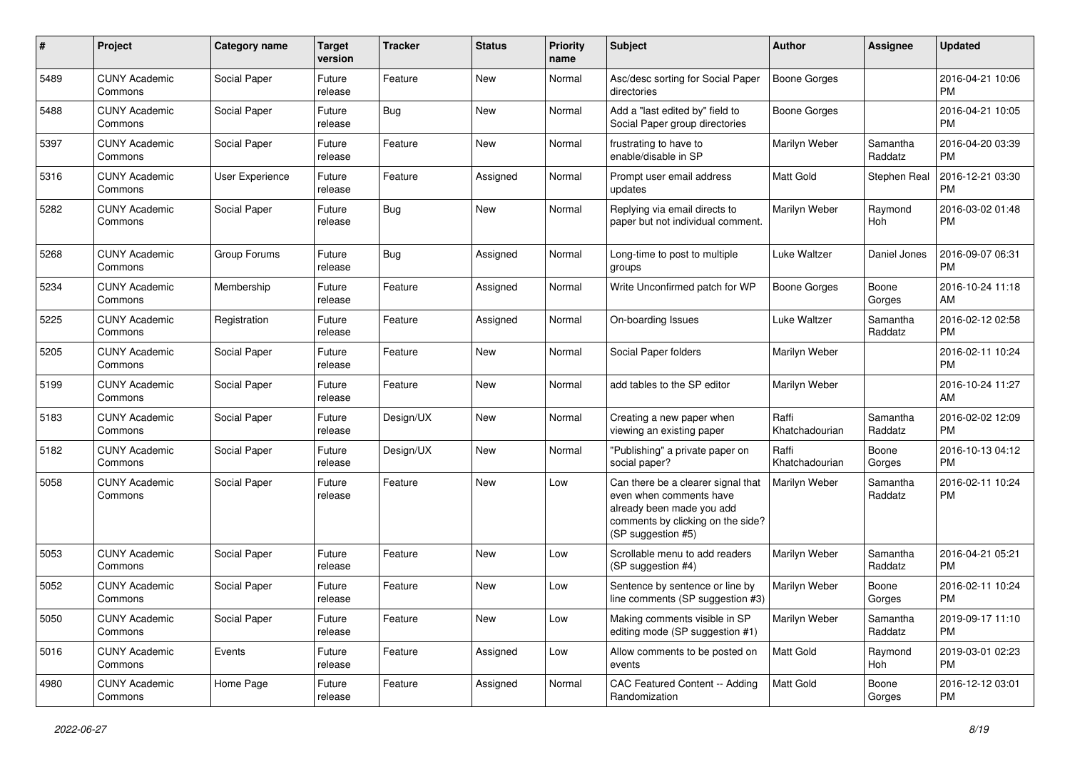| #    | Project                         | <b>Category name</b>   | <b>Target</b><br>version | <b>Tracker</b> | <b>Status</b> | <b>Priority</b><br>name | <b>Subject</b>                                                                                                                                        | Author                  | <b>Assignee</b>     | <b>Updated</b>                |
|------|---------------------------------|------------------------|--------------------------|----------------|---------------|-------------------------|-------------------------------------------------------------------------------------------------------------------------------------------------------|-------------------------|---------------------|-------------------------------|
| 5489 | <b>CUNY Academic</b><br>Commons | Social Paper           | Future<br>release        | Feature        | <b>New</b>    | Normal                  | Asc/desc sorting for Social Paper<br>directories                                                                                                      | <b>Boone Gorges</b>     |                     | 2016-04-21 10:06<br><b>PM</b> |
| 5488 | <b>CUNY Academic</b><br>Commons | Social Paper           | Future<br>release        | <b>Bug</b>     | New           | Normal                  | Add a "last edited by" field to<br>Social Paper group directories                                                                                     | <b>Boone Gorges</b>     |                     | 2016-04-21 10:05<br><b>PM</b> |
| 5397 | <b>CUNY Academic</b><br>Commons | Social Paper           | Future<br>release        | Feature        | New           | Normal                  | frustrating to have to<br>enable/disable in SP                                                                                                        | Marilyn Weber           | Samantha<br>Raddatz | 2016-04-20 03:39<br><b>PM</b> |
| 5316 | <b>CUNY Academic</b><br>Commons | <b>User Experience</b> | Future<br>release        | Feature        | Assigned      | Normal                  | Prompt user email address<br>updates                                                                                                                  | Matt Gold               | Stephen Real        | 2016-12-21 03:30<br><b>PM</b> |
| 5282 | <b>CUNY Academic</b><br>Commons | Social Paper           | Future<br>release        | <b>Bug</b>     | New           | Normal                  | Replying via email directs to<br>paper but not individual comment.                                                                                    | Marilyn Weber           | Raymond<br>Hoh      | 2016-03-02 01:48<br><b>PM</b> |
| 5268 | <b>CUNY Academic</b><br>Commons | Group Forums           | Future<br>release        | <b>Bug</b>     | Assigned      | Normal                  | Long-time to post to multiple<br>groups                                                                                                               | Luke Waltzer            | Daniel Jones        | 2016-09-07 06:31<br>PM        |
| 5234 | <b>CUNY Academic</b><br>Commons | Membership             | Future<br>release        | Feature        | Assigned      | Normal                  | Write Unconfirmed patch for WP                                                                                                                        | <b>Boone Gorges</b>     | Boone<br>Gorges     | 2016-10-24 11:18<br>AM        |
| 5225 | <b>CUNY Academic</b><br>Commons | Registration           | Future<br>release        | Feature        | Assigned      | Normal                  | On-boarding Issues                                                                                                                                    | Luke Waltzer            | Samantha<br>Raddatz | 2016-02-12 02:58<br><b>PM</b> |
| 5205 | <b>CUNY Academic</b><br>Commons | Social Paper           | Future<br>release        | Feature        | New           | Normal                  | Social Paper folders                                                                                                                                  | Marilyn Weber           |                     | 2016-02-11 10:24<br><b>PM</b> |
| 5199 | <b>CUNY Academic</b><br>Commons | Social Paper           | Future<br>release        | Feature        | New           | Normal                  | add tables to the SP editor                                                                                                                           | Marilyn Weber           |                     | 2016-10-24 11:27<br>AM        |
| 5183 | <b>CUNY Academic</b><br>Commons | Social Paper           | Future<br>release        | Design/UX      | <b>New</b>    | Normal                  | Creating a new paper when<br>viewing an existing paper                                                                                                | Raffi<br>Khatchadourian | Samantha<br>Raddatz | 2016-02-02 12:09<br><b>PM</b> |
| 5182 | <b>CUNY Academic</b><br>Commons | Social Paper           | Future<br>release        | Design/UX      | <b>New</b>    | Normal                  | "Publishing" a private paper on<br>social paper?                                                                                                      | Raffi<br>Khatchadourian | Boone<br>Gorges     | 2016-10-13 04:12<br><b>PM</b> |
| 5058 | <b>CUNY Academic</b><br>Commons | Social Paper           | Future<br>release        | Feature        | New           | Low                     | Can there be a clearer signal that<br>even when comments have<br>already been made you add<br>comments by clicking on the side?<br>(SP suggestion #5) | Marilyn Weber           | Samantha<br>Raddatz | 2016-02-11 10:24<br><b>PM</b> |
| 5053 | <b>CUNY Academic</b><br>Commons | Social Paper           | Future<br>release        | Feature        | New           | Low                     | Scrollable menu to add readers<br>(SP suggestion #4)                                                                                                  | Marilyn Weber           | Samantha<br>Raddatz | 2016-04-21 05:21<br><b>PM</b> |
| 5052 | <b>CUNY Academic</b><br>Commons | Social Paper           | Future<br>release        | Feature        | <b>New</b>    | Low                     | Sentence by sentence or line by<br>line comments (SP suggestion #3)                                                                                   | Marilyn Weber           | Boone<br>Gorges     | 2016-02-11 10:24<br><b>PM</b> |
| 5050 | <b>CUNY Academic</b><br>Commons | Social Paper           | Future<br>release        | Feature        | New           | Low                     | Making comments visible in SP<br>editing mode (SP suggestion #1)                                                                                      | Marilyn Weber           | Samantha<br>Raddatz | 2019-09-17 11:10<br><b>PM</b> |
| 5016 | <b>CUNY Academic</b><br>Commons | Events                 | Future<br>release        | Feature        | Assigned      | Low                     | Allow comments to be posted on<br>events                                                                                                              | Matt Gold               | Raymond<br>Hoh      | 2019-03-01 02:23<br><b>PM</b> |
| 4980 | <b>CUNY Academic</b><br>Commons | Home Page              | Future<br>release        | Feature        | Assigned      | Normal                  | CAC Featured Content -- Adding<br>Randomization                                                                                                       | Matt Gold               | Boone<br>Gorges     | 2016-12-12 03:01<br><b>PM</b> |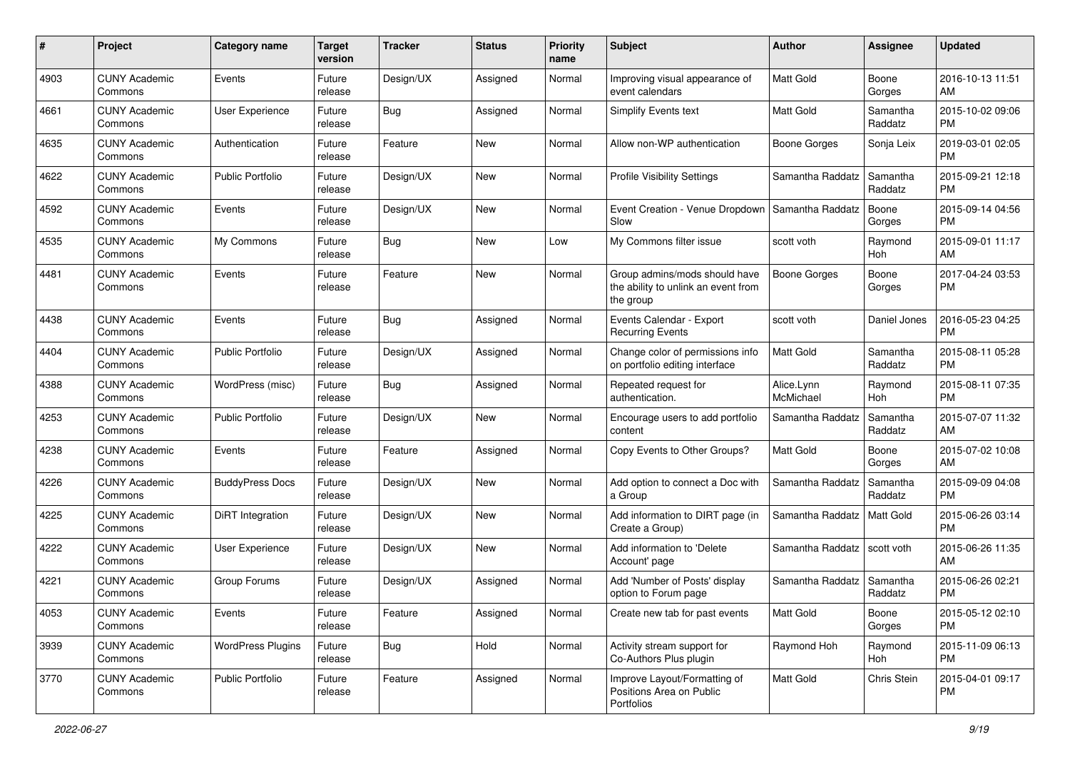| #    | Project                         | <b>Category name</b>     | <b>Target</b><br>version | <b>Tracker</b> | <b>Status</b> | <b>Priority</b><br>name | <b>Subject</b>                                                                    | Author                  | <b>Assignee</b>     | <b>Updated</b>                |
|------|---------------------------------|--------------------------|--------------------------|----------------|---------------|-------------------------|-----------------------------------------------------------------------------------|-------------------------|---------------------|-------------------------------|
| 4903 | <b>CUNY Academic</b><br>Commons | Events                   | Future<br>release        | Design/UX      | Assigned      | Normal                  | Improving visual appearance of<br>event calendars                                 | <b>Matt Gold</b>        | Boone<br>Gorges     | 2016-10-13 11:51<br>AM        |
| 4661 | <b>CUNY Academic</b><br>Commons | User Experience          | Future<br>release        | <b>Bug</b>     | Assigned      | Normal                  | <b>Simplify Events text</b>                                                       | Matt Gold               | Samantha<br>Raddatz | 2015-10-02 09:06<br><b>PM</b> |
| 4635 | <b>CUNY Academic</b><br>Commons | Authentication           | Future<br>release        | Feature        | New           | Normal                  | Allow non-WP authentication                                                       | <b>Boone Gorges</b>     | Sonja Leix          | 2019-03-01 02:05<br><b>PM</b> |
| 4622 | <b>CUNY Academic</b><br>Commons | <b>Public Portfolio</b>  | Future<br>release        | Design/UX      | New           | Normal                  | <b>Profile Visibility Settings</b>                                                | Samantha Raddatz        | Samantha<br>Raddatz | 2015-09-21 12:18<br><b>PM</b> |
| 4592 | <b>CUNY Academic</b><br>Commons | Events                   | Future<br>release        | Design/UX      | New           | Normal                  | Event Creation - Venue Dropdown<br>Slow                                           | Samantha Raddatz        | Boone<br>Gorges     | 2015-09-14 04:56<br><b>PM</b> |
| 4535 | <b>CUNY Academic</b><br>Commons | My Commons               | Future<br>release        | <b>Bug</b>     | New           | Low                     | My Commons filter issue                                                           | scott voth              | Raymond<br>Hoh      | 2015-09-01 11:17<br>AM        |
| 4481 | <b>CUNY Academic</b><br>Commons | Events                   | Future<br>release        | Feature        | <b>New</b>    | Normal                  | Group admins/mods should have<br>the ability to unlink an event from<br>the group | <b>Boone Gorges</b>     | Boone<br>Gorges     | 2017-04-24 03:53<br><b>PM</b> |
| 4438 | <b>CUNY Academic</b><br>Commons | Events                   | Future<br>release        | Bug            | Assigned      | Normal                  | Events Calendar - Export<br><b>Recurring Events</b>                               | scott voth              | Daniel Jones        | 2016-05-23 04:25<br><b>PM</b> |
| 4404 | <b>CUNY Academic</b><br>Commons | <b>Public Portfolio</b>  | Future<br>release        | Design/UX      | Assigned      | Normal                  | Change color of permissions info<br>on portfolio editing interface                | <b>Matt Gold</b>        | Samantha<br>Raddatz | 2015-08-11 05:28<br><b>PM</b> |
| 4388 | <b>CUNY Academic</b><br>Commons | WordPress (misc)         | Future<br>release        | <b>Bug</b>     | Assigned      | Normal                  | Repeated request for<br>authentication.                                           | Alice.Lynn<br>McMichael | Raymond<br>Hoh      | 2015-08-11 07:35<br><b>PM</b> |
| 4253 | <b>CUNY Academic</b><br>Commons | <b>Public Portfolio</b>  | Future<br>release        | Design/UX      | <b>New</b>    | Normal                  | Encourage users to add portfolio<br>content                                       | Samantha Raddatz        | Samantha<br>Raddatz | 2015-07-07 11:32<br>AM        |
| 4238 | <b>CUNY Academic</b><br>Commons | Events                   | Future<br>release        | Feature        | Assigned      | Normal                  | Copy Events to Other Groups?                                                      | Matt Gold               | Boone<br>Gorges     | 2015-07-02 10:08<br>AM        |
| 4226 | <b>CUNY Academic</b><br>Commons | <b>BuddyPress Docs</b>   | Future<br>release        | Design/UX      | <b>New</b>    | Normal                  | Add option to connect a Doc with<br>a Group                                       | Samantha Raddatz        | Samantha<br>Raddatz | 2015-09-09 04:08<br><b>PM</b> |
| 4225 | <b>CUNY Academic</b><br>Commons | DiRT Integration         | Future<br>release        | Design/UX      | New           | Normal                  | Add information to DIRT page (in<br>Create a Group)                               | Samantha Raddatz        | <b>Matt Gold</b>    | 2015-06-26 03:14<br><b>PM</b> |
| 4222 | <b>CUNY Academic</b><br>Commons | User Experience          | Future<br>release        | Design/UX      | New           | Normal                  | Add information to 'Delete<br>Account' page                                       | Samantha Raddatz        | scott voth          | 2015-06-26 11:35<br>AM        |
| 4221 | <b>CUNY Academic</b><br>Commons | Group Forums             | Future<br>release        | Design/UX      | Assigned      | Normal                  | Add 'Number of Posts' display<br>option to Forum page                             | Samantha Raddatz        | Samantha<br>Raddatz | 2015-06-26 02:21<br><b>PM</b> |
| 4053 | <b>CUNY Academic</b><br>Commons | Events                   | Future<br>release        | Feature        | Assigned      | Normal                  | Create new tab for past events                                                    | Matt Gold               | Boone<br>Gorges     | 2015-05-12 02:10<br>PM        |
| 3939 | <b>CUNY Academic</b><br>Commons | <b>WordPress Plugins</b> | Future<br>release        | <b>Bug</b>     | Hold          | Normal                  | Activity stream support for<br>Co-Authors Plus plugin                             | Raymond Hoh             | Raymond<br>Hoh      | 2015-11-09 06:13<br>PM        |
| 3770 | <b>CUNY Academic</b><br>Commons | Public Portfolio         | Future<br>release        | Feature        | Assigned      | Normal                  | Improve Layout/Formatting of<br>Positions Area on Public<br>Portfolios            | Matt Gold               | Chris Stein         | 2015-04-01 09:17<br>PM        |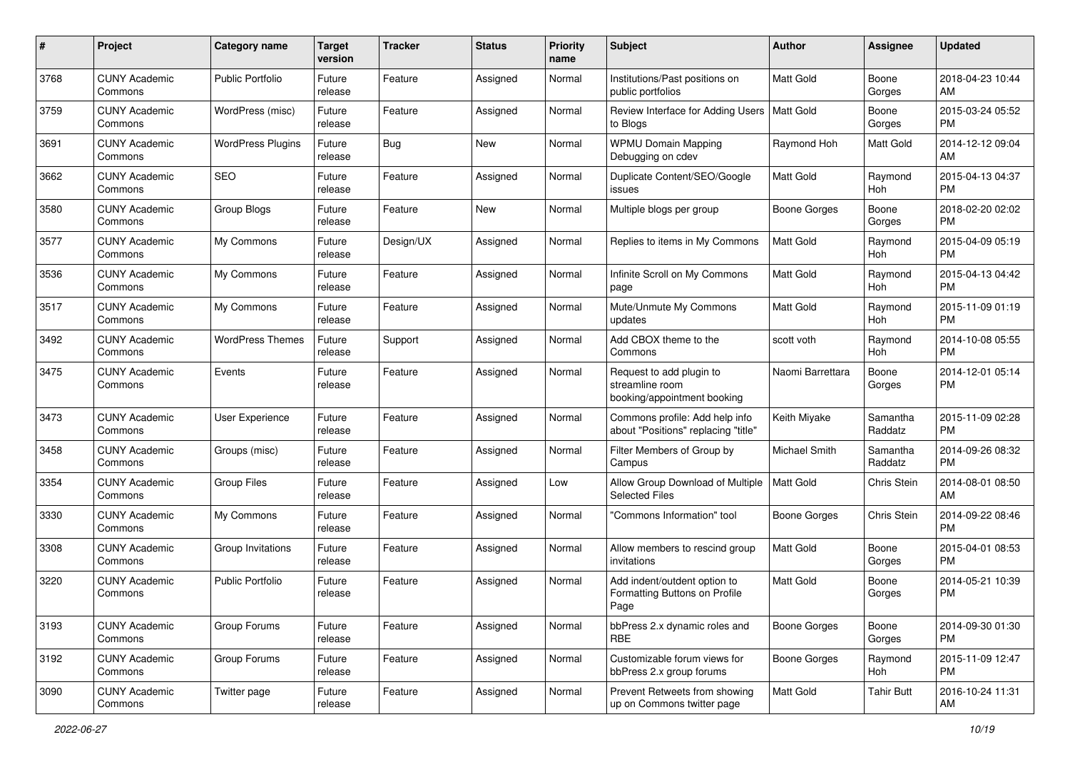| #    | Project                         | <b>Category name</b>     | <b>Target</b><br>version | <b>Tracker</b> | <b>Status</b> | <b>Priority</b><br>name | <b>Subject</b>                                                             | Author              | <b>Assignee</b>     | <b>Updated</b>                |
|------|---------------------------------|--------------------------|--------------------------|----------------|---------------|-------------------------|----------------------------------------------------------------------------|---------------------|---------------------|-------------------------------|
| 3768 | <b>CUNY Academic</b><br>Commons | <b>Public Portfolio</b>  | Future<br>release        | Feature        | Assigned      | Normal                  | Institutions/Past positions on<br>public portfolios                        | <b>Matt Gold</b>    | Boone<br>Gorges     | 2018-04-23 10:44<br>AM        |
| 3759 | <b>CUNY Academic</b><br>Commons | WordPress (misc)         | Future<br>release        | Feature        | Assigned      | Normal                  | Review Interface for Adding Users   Matt Gold<br>to Blogs                  |                     | Boone<br>Gorges     | 2015-03-24 05:52<br><b>PM</b> |
| 3691 | <b>CUNY Academic</b><br>Commons | <b>WordPress Plugins</b> | Future<br>release        | <b>Bug</b>     | New           | Normal                  | <b>WPMU Domain Mapping</b><br>Debugging on cdev                            | Raymond Hoh         | <b>Matt Gold</b>    | 2014-12-12 09:04<br>AM        |
| 3662 | <b>CUNY Academic</b><br>Commons | <b>SEO</b>               | Future<br>release        | Feature        | Assigned      | Normal                  | Duplicate Content/SEO/Google<br>issues                                     | <b>Matt Gold</b>    | Raymond<br>Hoh      | 2015-04-13 04:37<br><b>PM</b> |
| 3580 | <b>CUNY Academic</b><br>Commons | Group Blogs              | Future<br>release        | Feature        | <b>New</b>    | Normal                  | Multiple blogs per group                                                   | <b>Boone Gorges</b> | Boone<br>Gorges     | 2018-02-20 02:02<br><b>PM</b> |
| 3577 | <b>CUNY Academic</b><br>Commons | My Commons               | Future<br>release        | Design/UX      | Assigned      | Normal                  | Replies to items in My Commons                                             | <b>Matt Gold</b>    | Raymond<br>Hoh      | 2015-04-09 05:19<br><b>PM</b> |
| 3536 | <b>CUNY Academic</b><br>Commons | My Commons               | Future<br>release        | Feature        | Assigned      | Normal                  | Infinite Scroll on My Commons<br>page                                      | Matt Gold           | Raymond<br>Hoh      | 2015-04-13 04:42<br><b>PM</b> |
| 3517 | <b>CUNY Academic</b><br>Commons | My Commons               | Future<br>release        | Feature        | Assigned      | Normal                  | Mute/Unmute My Commons<br>updates                                          | <b>Matt Gold</b>    | Raymond<br>Hoh      | 2015-11-09 01:19<br><b>PM</b> |
| 3492 | <b>CUNY Academic</b><br>Commons | <b>WordPress Themes</b>  | Future<br>release        | Support        | Assigned      | Normal                  | Add CBOX theme to the<br>Commons                                           | scott voth          | Raymond<br>Hoh      | 2014-10-08 05:55<br><b>PM</b> |
| 3475 | <b>CUNY Academic</b><br>Commons | Events                   | Future<br>release        | Feature        | Assigned      | Normal                  | Request to add plugin to<br>streamline room<br>booking/appointment booking | Naomi Barrettara    | Boone<br>Gorges     | 2014-12-01 05:14<br><b>PM</b> |
| 3473 | <b>CUNY Academic</b><br>Commons | User Experience          | Future<br>release        | Feature        | Assigned      | Normal                  | Commons profile: Add help info<br>about "Positions" replacing "title"      | Keith Miyake        | Samantha<br>Raddatz | 2015-11-09 02:28<br><b>PM</b> |
| 3458 | <b>CUNY Academic</b><br>Commons | Groups (misc)            | Future<br>release        | Feature        | Assigned      | Normal                  | Filter Members of Group by<br>Campus                                       | Michael Smith       | Samantha<br>Raddatz | 2014-09-26 08:32<br><b>PM</b> |
| 3354 | <b>CUNY Academic</b><br>Commons | <b>Group Files</b>       | Future<br>release        | Feature        | Assigned      | Low                     | Allow Group Download of Multiple<br><b>Selected Files</b>                  | <b>Matt Gold</b>    | Chris Stein         | 2014-08-01 08:50<br>AM        |
| 3330 | <b>CUNY Academic</b><br>Commons | My Commons               | Future<br>release        | Feature        | Assigned      | Normal                  | "Commons Information" tool                                                 | <b>Boone Gorges</b> | Chris Stein         | 2014-09-22 08:46<br><b>PM</b> |
| 3308 | <b>CUNY Academic</b><br>Commons | Group Invitations        | Future<br>release        | Feature        | Assigned      | Normal                  | Allow members to rescind group<br>invitations                              | <b>Matt Gold</b>    | Boone<br>Gorges     | 2015-04-01 08:53<br><b>PM</b> |
| 3220 | <b>CUNY Academic</b><br>Commons | <b>Public Portfolio</b>  | Future<br>release        | Feature        | Assigned      | Normal                  | Add indent/outdent option to<br>Formatting Buttons on Profile<br>Page      | <b>Matt Gold</b>    | Boone<br>Gorges     | 2014-05-21 10:39<br><b>PM</b> |
| 3193 | <b>CUNY Academic</b><br>Commons | Group Forums             | Future<br>release        | Feature        | Assigned      | Normal                  | bbPress 2.x dynamic roles and<br><b>RBE</b>                                | <b>Boone Gorges</b> | Boone<br>Gorges     | 2014-09-30 01:30<br><b>PM</b> |
| 3192 | <b>CUNY Academic</b><br>Commons | Group Forums             | Future<br>release        | Feature        | Assigned      | Normal                  | Customizable forum views for<br>bbPress 2.x group forums                   | <b>Boone Gorges</b> | Raymond<br>Hoh      | 2015-11-09 12:47<br>PM        |
| 3090 | <b>CUNY Academic</b><br>Commons | Twitter page             | Future<br>release        | Feature        | Assigned      | Normal                  | Prevent Retweets from showing<br>up on Commons twitter page                | Matt Gold           | <b>Tahir Butt</b>   | 2016-10-24 11:31<br>AM        |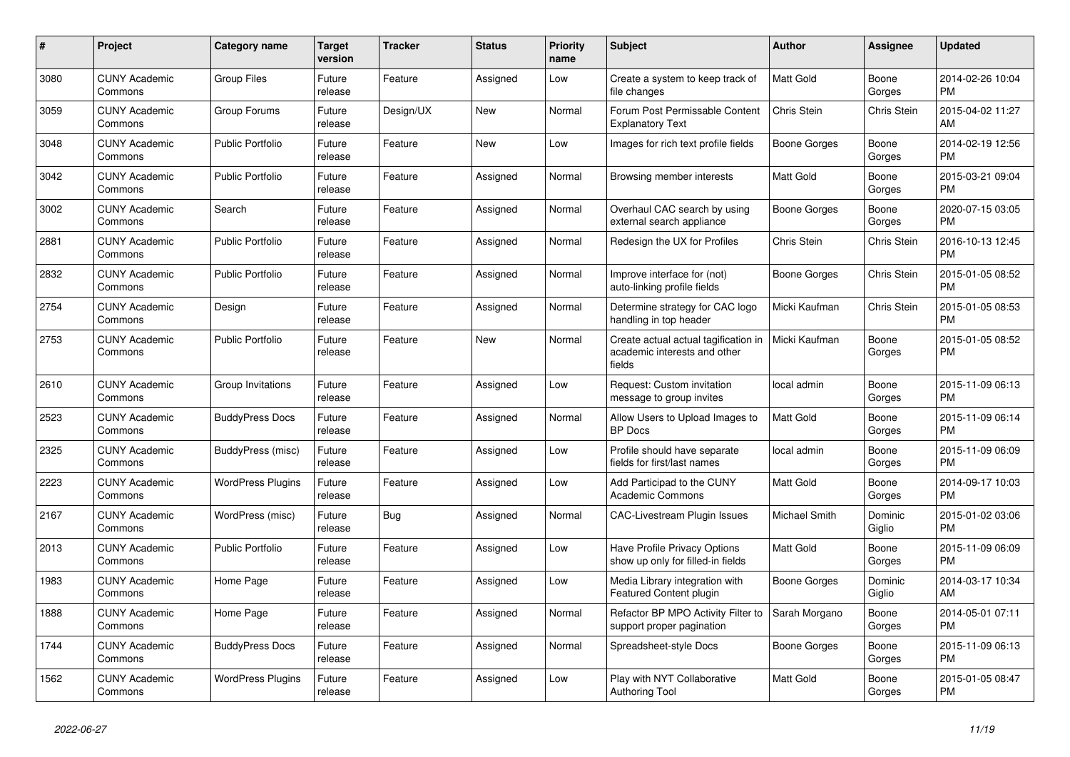| #    | Project                         | Category name            | Target<br>version | <b>Tracker</b> | <b>Status</b> | <b>Priority</b><br>name | <b>Subject</b>                                                                 | <b>Author</b>    | Assignee          | <b>Updated</b>                |
|------|---------------------------------|--------------------------|-------------------|----------------|---------------|-------------------------|--------------------------------------------------------------------------------|------------------|-------------------|-------------------------------|
| 3080 | <b>CUNY Academic</b><br>Commons | <b>Group Files</b>       | Future<br>release | Feature        | Assigned      | Low                     | Create a system to keep track of<br>file changes                               | <b>Matt Gold</b> | Boone<br>Gorges   | 2014-02-26 10:04<br><b>PM</b> |
| 3059 | <b>CUNY Academic</b><br>Commons | Group Forums             | Future<br>release | Design/UX      | <b>New</b>    | Normal                  | Forum Post Permissable Content<br><b>Explanatory Text</b>                      | Chris Stein      | Chris Stein       | 2015-04-02 11:27<br>AM        |
| 3048 | <b>CUNY Academic</b><br>Commons | <b>Public Portfolio</b>  | Future<br>release | Feature        | <b>New</b>    | Low                     | Images for rich text profile fields                                            | Boone Gorges     | Boone<br>Gorges   | 2014-02-19 12:56<br><b>PM</b> |
| 3042 | <b>CUNY Academic</b><br>Commons | <b>Public Portfolio</b>  | Future<br>release | Feature        | Assigned      | Normal                  | Browsing member interests                                                      | Matt Gold        | Boone<br>Gorges   | 2015-03-21 09:04<br><b>PM</b> |
| 3002 | <b>CUNY Academic</b><br>Commons | Search                   | Future<br>release | Feature        | Assigned      | Normal                  | Overhaul CAC search by using<br>external search appliance                      | Boone Gorges     | Boone<br>Gorges   | 2020-07-15 03:05<br><b>PM</b> |
| 2881 | <b>CUNY Academic</b><br>Commons | Public Portfolio         | Future<br>release | Feature        | Assigned      | Normal                  | Redesign the UX for Profiles                                                   | Chris Stein      | Chris Stein       | 2016-10-13 12:45<br><b>PM</b> |
| 2832 | <b>CUNY Academic</b><br>Commons | <b>Public Portfolio</b>  | Future<br>release | Feature        | Assigned      | Normal                  | Improve interface for (not)<br>auto-linking profile fields                     | Boone Gorges     | Chris Stein       | 2015-01-05 08:52<br><b>PM</b> |
| 2754 | <b>CUNY Academic</b><br>Commons | Design                   | Future<br>release | Feature        | Assigned      | Normal                  | Determine strategy for CAC logo<br>handling in top header                      | Micki Kaufman    | Chris Stein       | 2015-01-05 08:53<br>PM        |
| 2753 | <b>CUNY Academic</b><br>Commons | Public Portfolio         | Future<br>release | Feature        | <b>New</b>    | Normal                  | Create actual actual tagification in<br>academic interests and other<br>fields | Micki Kaufman    | Boone<br>Gorges   | 2015-01-05 08:52<br><b>PM</b> |
| 2610 | <b>CUNY Academic</b><br>Commons | Group Invitations        | Future<br>release | Feature        | Assigned      | Low                     | Request: Custom invitation<br>message to group invites                         | local admin      | Boone<br>Gorges   | 2015-11-09 06:13<br><b>PM</b> |
| 2523 | <b>CUNY Academic</b><br>Commons | <b>BuddyPress Docs</b>   | Future<br>release | Feature        | Assigned      | Normal                  | Allow Users to Upload Images to<br><b>BP</b> Docs                              | Matt Gold        | Boone<br>Gorges   | 2015-11-09 06:14<br><b>PM</b> |
| 2325 | <b>CUNY Academic</b><br>Commons | BuddyPress (misc)        | Future<br>release | Feature        | Assigned      | Low                     | Profile should have separate<br>fields for first/last names                    | local admin      | Boone<br>Gorges   | 2015-11-09 06:09<br><b>PM</b> |
| 2223 | <b>CUNY Academic</b><br>Commons | <b>WordPress Plugins</b> | Future<br>release | Feature        | Assigned      | Low                     | Add Participad to the CUNY<br><b>Academic Commons</b>                          | <b>Matt Gold</b> | Boone<br>Gorges   | 2014-09-17 10:03<br><b>PM</b> |
| 2167 | <b>CUNY Academic</b><br>Commons | WordPress (misc)         | Future<br>release | <b>Bug</b>     | Assigned      | Normal                  | CAC-Livestream Plugin Issues                                                   | Michael Smith    | Dominic<br>Giglio | 2015-01-02 03:06<br><b>PM</b> |
| 2013 | <b>CUNY Academic</b><br>Commons | <b>Public Portfolio</b>  | Future<br>release | Feature        | Assigned      | Low                     | Have Profile Privacy Options<br>show up only for filled-in fields              | Matt Gold        | Boone<br>Gorges   | 2015-11-09 06:09<br><b>PM</b> |
| 1983 | <b>CUNY Academic</b><br>Commons | Home Page                | Future<br>release | Feature        | Assigned      | Low                     | Media Library integration with<br>Featured Content plugin                      | Boone Gorges     | Dominic<br>Giglio | 2014-03-17 10:34<br>AM        |
| 1888 | <b>CUNY Academic</b><br>Commons | Home Page                | Future<br>release | Feature        | Assigned      | Normal                  | Refactor BP MPO Activity Filter to<br>support proper pagination                | Sarah Morgano    | Boone<br>Gorges   | 2014-05-01 07:11<br><b>PM</b> |
| 1744 | <b>CUNY Academic</b><br>Commons | <b>BuddyPress Docs</b>   | Future<br>release | Feature        | Assigned      | Normal                  | Spreadsheet-style Docs                                                         | Boone Gorges     | Boone<br>Gorges   | 2015-11-09 06:13<br><b>PM</b> |
| 1562 | <b>CUNY Academic</b><br>Commons | <b>WordPress Plugins</b> | Future<br>release | Feature        | Assigned      | Low                     | Play with NYT Collaborative<br><b>Authoring Tool</b>                           | <b>Matt Gold</b> | Boone<br>Gorges   | 2015-01-05 08:47<br><b>PM</b> |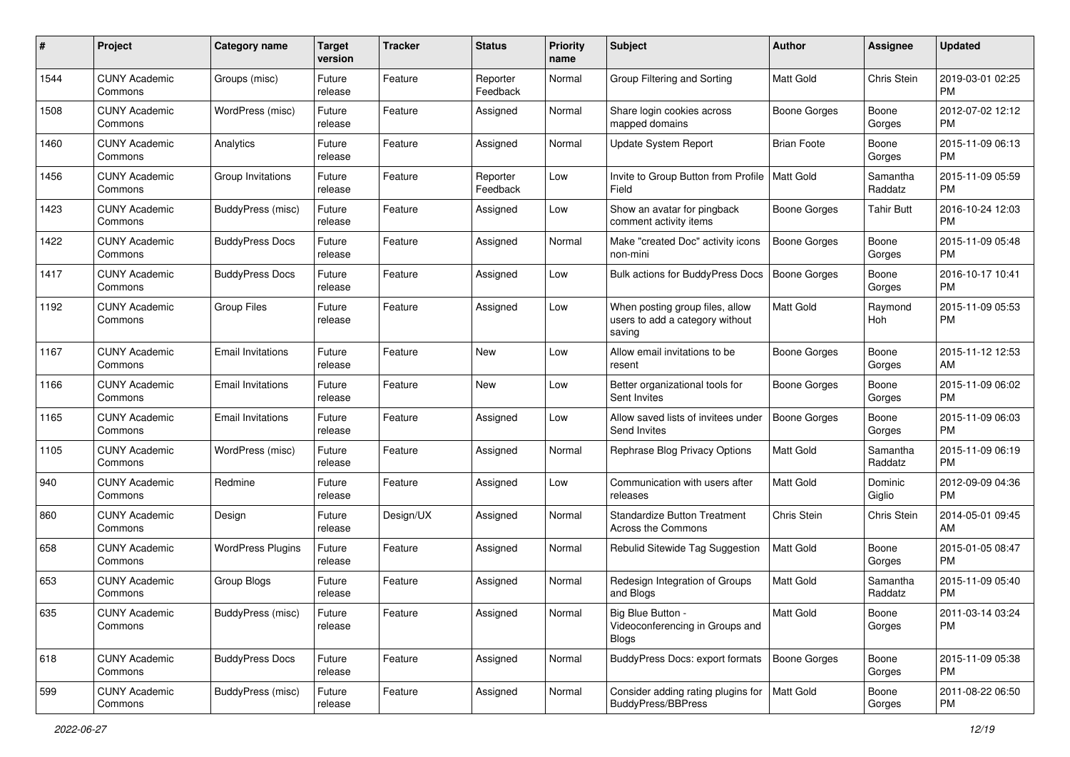| #    | Project                         | <b>Category name</b>     | <b>Target</b><br>version | <b>Tracker</b> | <b>Status</b>        | <b>Priority</b><br>name | <b>Subject</b>                                                               | Author              | <b>Assignee</b>     | <b>Updated</b>                |
|------|---------------------------------|--------------------------|--------------------------|----------------|----------------------|-------------------------|------------------------------------------------------------------------------|---------------------|---------------------|-------------------------------|
| 1544 | <b>CUNY Academic</b><br>Commons | Groups (misc)            | Future<br>release        | Feature        | Reporter<br>Feedback | Normal                  | Group Filtering and Sorting                                                  | <b>Matt Gold</b>    | Chris Stein         | 2019-03-01 02:25<br><b>PM</b> |
| 1508 | <b>CUNY Academic</b><br>Commons | WordPress (misc)         | Future<br>release        | Feature        | Assigned             | Normal                  | Share login cookies across<br>mapped domains                                 | <b>Boone Gorges</b> | Boone<br>Gorges     | 2012-07-02 12:12<br><b>PM</b> |
| 1460 | <b>CUNY Academic</b><br>Commons | Analytics                | Future<br>release        | Feature        | Assigned             | Normal                  | Update System Report                                                         | <b>Brian Foote</b>  | Boone<br>Gorges     | 2015-11-09 06:13<br><b>PM</b> |
| 1456 | <b>CUNY Academic</b><br>Commons | Group Invitations        | Future<br>release        | Feature        | Reporter<br>Feedback | Low                     | Invite to Group Button from Profile<br>Field                                 | Matt Gold           | Samantha<br>Raddatz | 2015-11-09 05:59<br><b>PM</b> |
| 1423 | <b>CUNY Academic</b><br>Commons | BuddyPress (misc)        | Future<br>release        | Feature        | Assigned             | Low                     | Show an avatar for pingback<br>comment activity items                        | <b>Boone Gorges</b> | <b>Tahir Butt</b>   | 2016-10-24 12:03<br>PM        |
| 1422 | <b>CUNY Academic</b><br>Commons | <b>BuddyPress Docs</b>   | Future<br>release        | Feature        | Assigned             | Normal                  | Make "created Doc" activity icons<br>non-mini                                | <b>Boone Gorges</b> | Boone<br>Gorges     | 2015-11-09 05:48<br><b>PM</b> |
| 1417 | <b>CUNY Academic</b><br>Commons | <b>BuddyPress Docs</b>   | Future<br>release        | Feature        | Assigned             | Low                     | <b>Bulk actions for BuddyPress Docs</b>                                      | <b>Boone Gorges</b> | Boone<br>Gorges     | 2016-10-17 10:41<br><b>PM</b> |
| 1192 | <b>CUNY Academic</b><br>Commons | <b>Group Files</b>       | Future<br>release        | Feature        | Assigned             | Low                     | When posting group files, allow<br>users to add a category without<br>saving | <b>Matt Gold</b>    | Raymond<br>Hoh      | 2015-11-09 05:53<br><b>PM</b> |
| 1167 | <b>CUNY Academic</b><br>Commons | <b>Email Invitations</b> | Future<br>release        | Feature        | <b>New</b>           | Low                     | Allow email invitations to be<br>resent                                      | <b>Boone Gorges</b> | Boone<br>Gorges     | 2015-11-12 12:53<br>AM        |
| 1166 | <b>CUNY Academic</b><br>Commons | <b>Email Invitations</b> | Future<br>release        | Feature        | New                  | Low                     | Better organizational tools for<br>Sent Invites                              | <b>Boone Gorges</b> | Boone<br>Gorges     | 2015-11-09 06:02<br><b>PM</b> |
| 1165 | <b>CUNY Academic</b><br>Commons | <b>Email Invitations</b> | Future<br>release        | Feature        | Assigned             | Low                     | Allow saved lists of invitees under<br>Send Invites                          | <b>Boone Gorges</b> | Boone<br>Gorges     | 2015-11-09 06:03<br><b>PM</b> |
| 1105 | <b>CUNY Academic</b><br>Commons | WordPress (misc)         | Future<br>release        | Feature        | Assigned             | Normal                  | Rephrase Blog Privacy Options                                                | Matt Gold           | Samantha<br>Raddatz | 2015-11-09 06:19<br><b>PM</b> |
| 940  | <b>CUNY Academic</b><br>Commons | Redmine                  | Future<br>release        | Feature        | Assigned             | Low                     | Communication with users after<br>releases                                   | <b>Matt Gold</b>    | Dominic<br>Giglio   | 2012-09-09 04:36<br><b>PM</b> |
| 860  | <b>CUNY Academic</b><br>Commons | Design                   | Future<br>release        | Design/UX      | Assigned             | Normal                  | <b>Standardize Button Treatment</b><br>Across the Commons                    | Chris Stein         | Chris Stein         | 2014-05-01 09:45<br>AM        |
| 658  | <b>CUNY Academic</b><br>Commons | <b>WordPress Plugins</b> | Future<br>release        | Feature        | Assigned             | Normal                  | Rebulid Sitewide Tag Suggestion                                              | Matt Gold           | Boone<br>Gorges     | 2015-01-05 08:47<br><b>PM</b> |
| 653  | <b>CUNY Academic</b><br>Commons | Group Blogs              | Future<br>release        | Feature        | Assigned             | Normal                  | Redesign Integration of Groups<br>and Blogs                                  | Matt Gold           | Samantha<br>Raddatz | 2015-11-09 05:40<br><b>PM</b> |
| 635  | <b>CUNY Academic</b><br>Commons | BuddyPress (misc)        | Future<br>release        | Feature        | Assigned             | Normal                  | Big Blue Button -<br>Videoconferencing in Groups and<br><b>Blogs</b>         | Matt Gold           | Boone<br>Gorges     | 2011-03-14 03:24<br>PM        |
| 618  | <b>CUNY Academic</b><br>Commons | <b>BuddyPress Docs</b>   | Future<br>release        | Feature        | Assigned             | Normal                  | <b>BuddyPress Docs: export formats</b>                                       | <b>Boone Gorges</b> | Boone<br>Gorges     | 2015-11-09 05:38<br><b>PM</b> |
| 599  | <b>CUNY Academic</b><br>Commons | BuddyPress (misc)        | Future<br>release        | Feature        | Assigned             | Normal                  | Consider adding rating plugins for<br><b>BuddyPress/BBPress</b>              | Matt Gold           | Boone<br>Gorges     | 2011-08-22 06:50<br><b>PM</b> |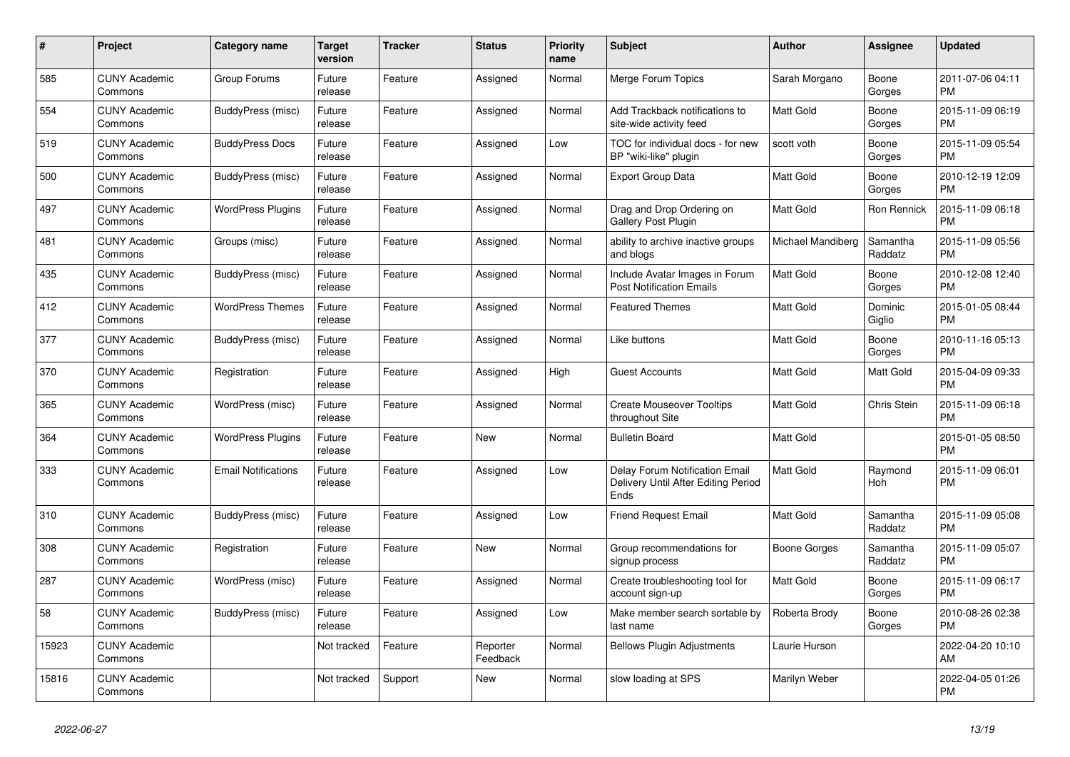| #     | Project                         | Category name              | Target<br>version | <b>Tracker</b> | <b>Status</b>        | <b>Priority</b><br>name | <b>Subject</b>                                                                | <b>Author</b>     | Assignee            | <b>Updated</b>                |
|-------|---------------------------------|----------------------------|-------------------|----------------|----------------------|-------------------------|-------------------------------------------------------------------------------|-------------------|---------------------|-------------------------------|
| 585   | <b>CUNY Academic</b><br>Commons | Group Forums               | Future<br>release | Feature        | Assigned             | Normal                  | Merge Forum Topics                                                            | Sarah Morgano     | Boone<br>Gorges     | 2011-07-06 04:11<br><b>PM</b> |
| 554   | <b>CUNY Academic</b><br>Commons | BuddyPress (misc)          | Future<br>release | Feature        | Assigned             | Normal                  | Add Trackback notifications to<br>site-wide activity feed                     | <b>Matt Gold</b>  | Boone<br>Gorges     | 2015-11-09 06:19<br><b>PM</b> |
| 519   | <b>CUNY Academic</b><br>Commons | <b>BuddyPress Docs</b>     | Future<br>release | Feature        | Assigned             | Low                     | TOC for individual docs - for new<br>BP "wiki-like" plugin                    | scott voth        | Boone<br>Gorges     | 2015-11-09 05:54<br><b>PM</b> |
| 500   | <b>CUNY Academic</b><br>Commons | BuddyPress (misc)          | Future<br>release | Feature        | Assigned             | Normal                  | <b>Export Group Data</b>                                                      | <b>Matt Gold</b>  | Boone<br>Gorges     | 2010-12-19 12:09<br><b>PM</b> |
| 497   | <b>CUNY Academic</b><br>Commons | <b>WordPress Plugins</b>   | Future<br>release | Feature        | Assigned             | Normal                  | Drag and Drop Ordering on<br><b>Gallery Post Plugin</b>                       | Matt Gold         | Ron Rennick         | 2015-11-09 06:18<br><b>PM</b> |
| 481   | <b>CUNY Academic</b><br>Commons | Groups (misc)              | Future<br>release | Feature        | Assigned             | Normal                  | ability to archive inactive groups<br>and blogs                               | Michael Mandiberg | Samantha<br>Raddatz | 2015-11-09 05:56<br><b>PM</b> |
| 435   | <b>CUNY Academic</b><br>Commons | BuddyPress (misc)          | Future<br>release | Feature        | Assigned             | Normal                  | Include Avatar Images in Forum<br><b>Post Notification Emails</b>             | <b>Matt Gold</b>  | Boone<br>Gorges     | 2010-12-08 12:40<br><b>PM</b> |
| 412   | <b>CUNY Academic</b><br>Commons | <b>WordPress Themes</b>    | Future<br>release | Feature        | Assigned             | Normal                  | <b>Featured Themes</b>                                                        | <b>Matt Gold</b>  | Dominic<br>Giglio   | 2015-01-05 08:44<br>PM        |
| 377   | <b>CUNY Academic</b><br>Commons | BuddyPress (misc)          | Future<br>release | Feature        | Assigned             | Normal                  | Like buttons                                                                  | Matt Gold         | Boone<br>Gorges     | 2010-11-16 05:13<br><b>PM</b> |
| 370   | <b>CUNY Academic</b><br>Commons | Registration               | Future<br>release | Feature        | Assigned             | High                    | <b>Guest Accounts</b>                                                         | <b>Matt Gold</b>  | Matt Gold           | 2015-04-09 09:33<br><b>PM</b> |
| 365   | <b>CUNY Academic</b><br>Commons | WordPress (misc)           | Future<br>release | Feature        | Assigned             | Normal                  | <b>Create Mouseover Tooltips</b><br>throughout Site                           | <b>Matt Gold</b>  | Chris Stein         | 2015-11-09 06:18<br><b>PM</b> |
| 364   | <b>CUNY Academic</b><br>Commons | <b>WordPress Plugins</b>   | Future<br>release | Feature        | <b>New</b>           | Normal                  | <b>Bulletin Board</b>                                                         | Matt Gold         |                     | 2015-01-05 08:50<br><b>PM</b> |
| 333   | <b>CUNY Academic</b><br>Commons | <b>Email Notifications</b> | Future<br>release | Feature        | Assigned             | Low                     | Delay Forum Notification Email<br>Delivery Until After Editing Period<br>Ends | <b>Matt Gold</b>  | Raymond<br>Hoh      | 2015-11-09 06:01<br><b>PM</b> |
| 310   | <b>CUNY Academic</b><br>Commons | BuddyPress (misc)          | Future<br>release | Feature        | Assigned             | Low                     | <b>Friend Request Email</b>                                                   | <b>Matt Gold</b>  | Samantha<br>Raddatz | 2015-11-09 05:08<br><b>PM</b> |
| 308   | <b>CUNY Academic</b><br>Commons | Registration               | Future<br>release | Feature        | <b>New</b>           | Normal                  | Group recommendations for<br>signup process                                   | Boone Gorges      | Samantha<br>Raddatz | 2015-11-09 05:07<br><b>PM</b> |
| 287   | <b>CUNY Academic</b><br>Commons | WordPress (misc)           | Future<br>release | Feature        | Assigned             | Normal                  | Create troubleshooting tool for<br>account sign-up                            | <b>Matt Gold</b>  | Boone<br>Gorges     | 2015-11-09 06:17<br><b>PM</b> |
| 58    | <b>CUNY Academic</b><br>Commons | BuddyPress (misc)          | Future<br>release | Feature        | Assigned             | Low                     | Make member search sortable by<br>last name                                   | Roberta Brody     | Boone<br>Gorges     | 2010-08-26 02:38<br><b>PM</b> |
| 15923 | <b>CUNY Academic</b><br>Commons |                            | Not tracked       | Feature        | Reporter<br>Feedback | Normal                  | <b>Bellows Plugin Adjustments</b>                                             | Laurie Hurson     |                     | 2022-04-20 10:10<br>AM        |
| 15816 | <b>CUNY Academic</b><br>Commons |                            | Not tracked       | Support        | <b>New</b>           | Normal                  | slow loading at SPS                                                           | Marilyn Weber     |                     | 2022-04-05 01:26<br><b>PM</b> |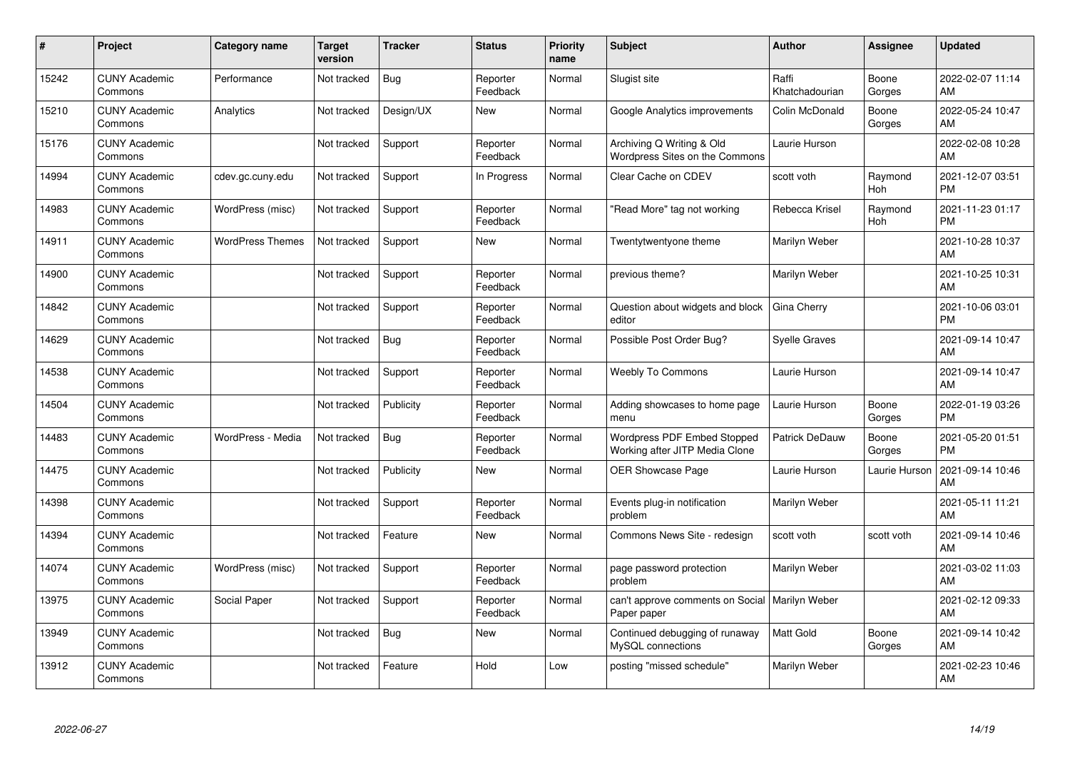| #     | Project                         | <b>Category name</b>    | Target<br>version | <b>Tracker</b> | <b>Status</b>        | <b>Priority</b><br>name | <b>Subject</b>                                                  | <b>Author</b>           | <b>Assignee</b>       | <b>Updated</b>                |
|-------|---------------------------------|-------------------------|-------------------|----------------|----------------------|-------------------------|-----------------------------------------------------------------|-------------------------|-----------------------|-------------------------------|
| 15242 | <b>CUNY Academic</b><br>Commons | Performance             | Not tracked       | <b>Bug</b>     | Reporter<br>Feedback | Normal                  | Slugist site                                                    | Raffi<br>Khatchadourian | Boone<br>Gorges       | 2022-02-07 11:14<br>AM        |
| 15210 | <b>CUNY Academic</b><br>Commons | Analytics               | Not tracked       | Design/UX      | New                  | Normal                  | Google Analytics improvements                                   | Colin McDonald          | Boone<br>Gorges       | 2022-05-24 10:47<br>AM        |
| 15176 | <b>CUNY Academic</b><br>Commons |                         | Not tracked       | Support        | Reporter<br>Feedback | Normal                  | Archiving Q Writing & Old<br>Wordpress Sites on the Commons     | Laurie Hurson           |                       | 2022-02-08 10:28<br>AM        |
| 14994 | <b>CUNY Academic</b><br>Commons | cdev.gc.cuny.edu        | Not tracked       | Support        | In Progress          | Normal                  | Clear Cache on CDEV                                             | scott voth              | Raymond<br><b>Hoh</b> | 2021-12-07 03:51<br><b>PM</b> |
| 14983 | <b>CUNY Academic</b><br>Commons | WordPress (misc)        | Not tracked       | Support        | Reporter<br>Feedback | Normal                  | "Read More" tag not working                                     | Rebecca Krisel          | Raymond<br><b>Hoh</b> | 2021-11-23 01:17<br><b>PM</b> |
| 14911 | <b>CUNY Academic</b><br>Commons | <b>WordPress Themes</b> | Not tracked       | Support        | <b>New</b>           | Normal                  | Twentytwentyone theme                                           | Marilyn Weber           |                       | 2021-10-28 10:37<br>AM        |
| 14900 | <b>CUNY Academic</b><br>Commons |                         | Not tracked       | Support        | Reporter<br>Feedback | Normal                  | previous theme?                                                 | Marilyn Weber           |                       | 2021-10-25 10:31<br>AM        |
| 14842 | <b>CUNY Academic</b><br>Commons |                         | Not tracked       | Support        | Reporter<br>Feedback | Normal                  | Question about widgets and block<br>editor                      | Gina Cherry             |                       | 2021-10-06 03:01<br><b>PM</b> |
| 14629 | <b>CUNY Academic</b><br>Commons |                         | Not tracked       | Bug            | Reporter<br>Feedback | Normal                  | Possible Post Order Bug?                                        | <b>Syelle Graves</b>    |                       | 2021-09-14 10:47<br>AM        |
| 14538 | <b>CUNY Academic</b><br>Commons |                         | Not tracked       | Support        | Reporter<br>Feedback | Normal                  | Weebly To Commons                                               | Laurie Hurson           |                       | 2021-09-14 10:47<br>AM        |
| 14504 | <b>CUNY Academic</b><br>Commons |                         | Not tracked       | Publicity      | Reporter<br>Feedback | Normal                  | Adding showcases to home page<br>menu                           | Laurie Hurson           | Boone<br>Gorges       | 2022-01-19 03:26<br><b>PM</b> |
| 14483 | <b>CUNY Academic</b><br>Commons | WordPress - Media       | Not tracked       | Bug            | Reporter<br>Feedback | Normal                  | Wordpress PDF Embed Stopped<br>Working after JITP Media Clone   | Patrick DeDauw          | Boone<br>Gorges       | 2021-05-20 01:51<br><b>PM</b> |
| 14475 | <b>CUNY Academic</b><br>Commons |                         | Not tracked       | Publicity      | <b>New</b>           | Normal                  | <b>OER Showcase Page</b>                                        | Laurie Hurson           | Laurie Hurson         | 2021-09-14 10:46<br>AM        |
| 14398 | <b>CUNY Academic</b><br>Commons |                         | Not tracked       | Support        | Reporter<br>Feedback | Normal                  | Events plug-in notification<br>problem                          | Marilyn Weber           |                       | 2021-05-11 11:21<br>AM        |
| 14394 | <b>CUNY Academic</b><br>Commons |                         | Not tracked       | Feature        | New                  | Normal                  | Commons News Site - redesign                                    | scott voth              | scott voth            | 2021-09-14 10:46<br>AM        |
| 14074 | <b>CUNY Academic</b><br>Commons | WordPress (misc)        | Not tracked       | Support        | Reporter<br>Feedback | Normal                  | page password protection<br>problem                             | Marilyn Weber           |                       | 2021-03-02 11:03<br>AM        |
| 13975 | <b>CUNY Academic</b><br>Commons | Social Paper            | Not tracked       | Support        | Reporter<br>Feedback | Normal                  | can't approve comments on Social   Marilyn Weber<br>Paper paper |                         |                       | 2021-02-12 09:33<br>AM        |
| 13949 | <b>CUNY Academic</b><br>Commons |                         | Not tracked       | Bug            | <b>New</b>           | Normal                  | Continued debugging of runaway<br>MySQL connections             | <b>Matt Gold</b>        | Boone<br>Gorges       | 2021-09-14 10:42<br>AM        |
| 13912 | <b>CUNY Academic</b><br>Commons |                         | Not tracked       | Feature        | Hold                 | Low                     | posting "missed schedule"                                       | Marilyn Weber           |                       | 2021-02-23 10:46<br>AM        |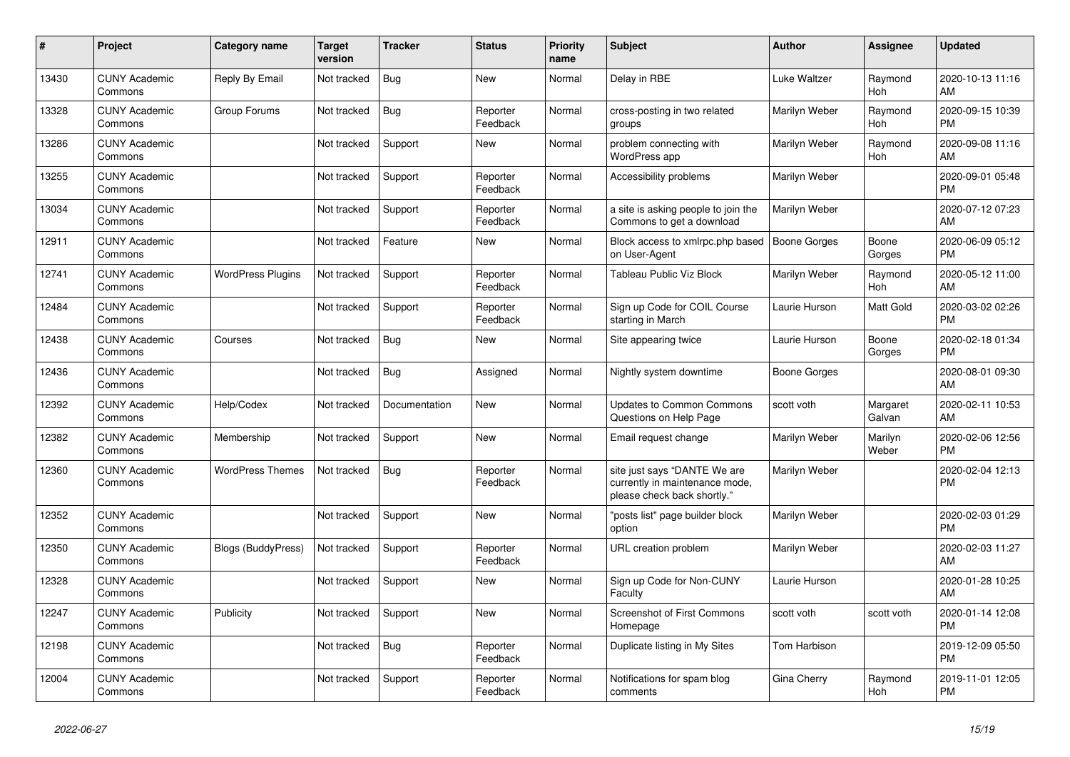| #     | Project                         | <b>Category name</b>     | <b>Target</b><br>version | <b>Tracker</b> | <b>Status</b>        | Priority<br>name | <b>Subject</b>                                                                                | <b>Author</b>       | <b>Assignee</b>       | <b>Updated</b>                |
|-------|---------------------------------|--------------------------|--------------------------|----------------|----------------------|------------------|-----------------------------------------------------------------------------------------------|---------------------|-----------------------|-------------------------------|
| 13430 | <b>CUNY Academic</b><br>Commons | Reply By Email           | Not tracked              | Bug            | <b>New</b>           | Normal           | Delay in RBE                                                                                  | <b>Luke Waltzer</b> | Raymond<br>Hoh        | 2020-10-13 11:16<br>AM        |
| 13328 | <b>CUNY Academic</b><br>Commons | Group Forums             | Not tracked              | Bug            | Reporter<br>Feedback | Normal           | cross-posting in two related<br>groups                                                        | Marilyn Weber       | Raymond<br><b>Hoh</b> | 2020-09-15 10:39<br><b>PM</b> |
| 13286 | <b>CUNY Academic</b><br>Commons |                          | Not tracked              | Support        | New                  | Normal           | problem connecting with<br>WordPress app                                                      | Marilyn Weber       | Raymond<br><b>Hoh</b> | 2020-09-08 11:16<br>AM        |
| 13255 | <b>CUNY Academic</b><br>Commons |                          | Not tracked              | Support        | Reporter<br>Feedback | Normal           | Accessibility problems                                                                        | Marilyn Weber       |                       | 2020-09-01 05:48<br><b>PM</b> |
| 13034 | <b>CUNY Academic</b><br>Commons |                          | Not tracked              | Support        | Reporter<br>Feedback | Normal           | a site is asking people to join the<br>Commons to get a download                              | Marilyn Weber       |                       | 2020-07-12 07:23<br>AM        |
| 12911 | <b>CUNY Academic</b><br>Commons |                          | Not tracked              | Feature        | <b>New</b>           | Normal           | Block access to xmlrpc.php based<br>on User-Agent                                             | <b>Boone Gorges</b> | Boone<br>Gorges       | 2020-06-09 05:12<br><b>PM</b> |
| 12741 | <b>CUNY Academic</b><br>Commons | <b>WordPress Plugins</b> | Not tracked              | Support        | Reporter<br>Feedback | Normal           | Tableau Public Viz Block                                                                      | Marilyn Weber       | Raymond<br><b>Hoh</b> | 2020-05-12 11:00<br>AM        |
| 12484 | <b>CUNY Academic</b><br>Commons |                          | Not tracked              | Support        | Reporter<br>Feedback | Normal           | Sign up Code for COIL Course<br>starting in March                                             | Laurie Hurson       | <b>Matt Gold</b>      | 2020-03-02 02:26<br><b>PM</b> |
| 12438 | <b>CUNY Academic</b><br>Commons | Courses                  | Not tracked              | <b>Bug</b>     | <b>New</b>           | Normal           | Site appearing twice                                                                          | Laurie Hurson       | Boone<br>Gorges       | 2020-02-18 01:34<br><b>PM</b> |
| 12436 | <b>CUNY Academic</b><br>Commons |                          | Not tracked              | Bug            | Assigned             | Normal           | Nightly system downtime                                                                       | <b>Boone Gorges</b> |                       | 2020-08-01 09:30<br>AM        |
| 12392 | <b>CUNY Academic</b><br>Commons | Help/Codex               | Not tracked              | Documentation  | <b>New</b>           | Normal           | <b>Updates to Common Commons</b><br>Questions on Help Page                                    | scott voth          | Margaret<br>Galvan    | 2020-02-11 10:53<br>AM        |
| 12382 | <b>CUNY Academic</b><br>Commons | Membership               | Not tracked              | Support        | New                  | Normal           | Email request change                                                                          | Marilyn Weber       | Marilyn<br>Weber      | 2020-02-06 12:56<br><b>PM</b> |
| 12360 | <b>CUNY Academic</b><br>Commons | <b>WordPress Themes</b>  | Not tracked              | <b>Bug</b>     | Reporter<br>Feedback | Normal           | site just says "DANTE We are<br>currently in maintenance mode,<br>please check back shortly." | Marilyn Weber       |                       | 2020-02-04 12:13<br><b>PM</b> |
| 12352 | <b>CUNY Academic</b><br>Commons |                          | Not tracked              | Support        | <b>New</b>           | Normal           | "posts list" page builder block<br>option                                                     | Marilyn Weber       |                       | 2020-02-03 01:29<br><b>PM</b> |
| 12350 | <b>CUNY Academic</b><br>Commons | Blogs (BuddyPress)       | Not tracked              | Support        | Reporter<br>Feedback | Normal           | URL creation problem                                                                          | Marilyn Weber       |                       | 2020-02-03 11:27<br>AM        |
| 12328 | <b>CUNY Academic</b><br>Commons |                          | Not tracked              | Support        | <b>New</b>           | Normal           | Sign up Code for Non-CUNY<br>Faculty                                                          | Laurie Hurson       |                       | 2020-01-28 10:25<br>AM        |
| 12247 | <b>CUNY Academic</b><br>Commons | Publicity                | Not tracked              | Support        | <b>New</b>           | Normal           | <b>Screenshot of First Commons</b><br>Homepage                                                | scott voth          | scott voth            | 2020-01-14 12:08<br><b>PM</b> |
| 12198 | <b>CUNY Academic</b><br>Commons |                          | Not tracked              | Bug            | Reporter<br>Feedback | Normal           | Duplicate listing in My Sites                                                                 | Tom Harbison        |                       | 2019-12-09 05:50<br><b>PM</b> |
| 12004 | <b>CUNY Academic</b><br>Commons |                          | Not tracked              | Support        | Reporter<br>Feedback | Normal           | Notifications for spam blog<br>comments                                                       | Gina Cherry         | Raymond<br>Hoh        | 2019-11-01 12:05<br><b>PM</b> |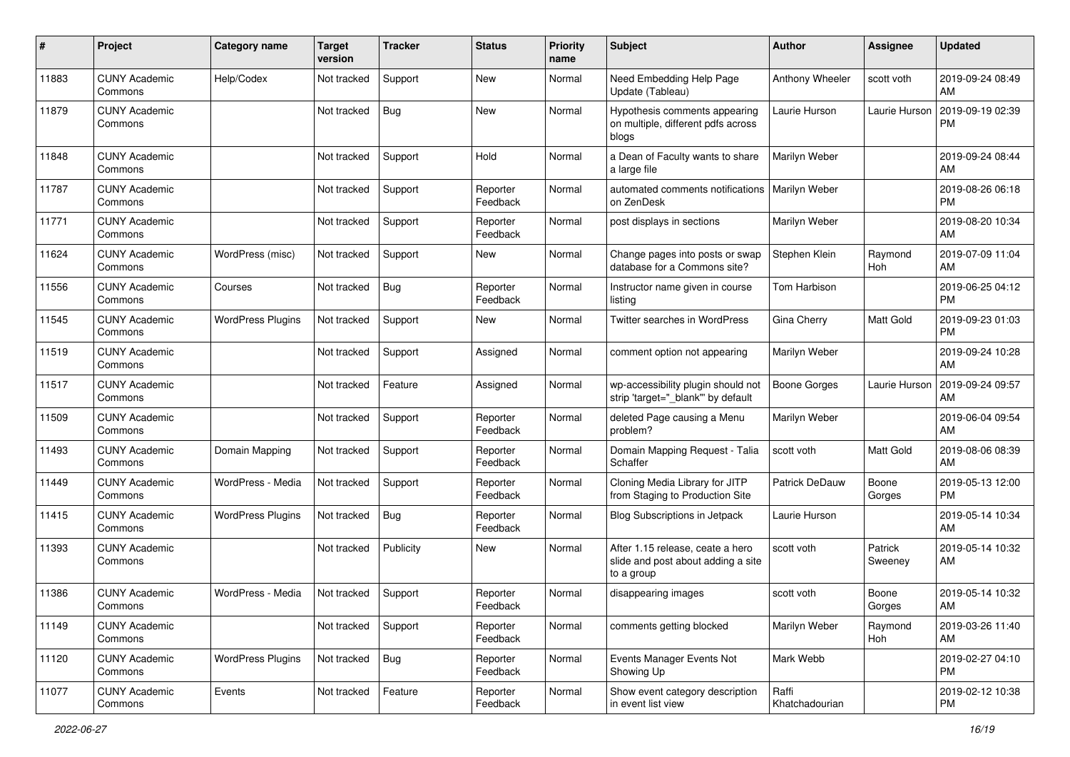| #     | Project                         | <b>Category name</b>     | Target<br>version | <b>Tracker</b> | <b>Status</b>        | <b>Priority</b><br>name | <b>Subject</b>                                                                       | Author                  | <b>Assignee</b>    | <b>Updated</b>                |
|-------|---------------------------------|--------------------------|-------------------|----------------|----------------------|-------------------------|--------------------------------------------------------------------------------------|-------------------------|--------------------|-------------------------------|
| 11883 | <b>CUNY Academic</b><br>Commons | Help/Codex               | Not tracked       | Support        | New                  | Normal                  | Need Embedding Help Page<br>Update (Tableau)                                         | Anthony Wheeler         | scott voth         | 2019-09-24 08:49<br>AM        |
| 11879 | <b>CUNY Academic</b><br>Commons |                          | Not tracked       | <b>Bug</b>     | New                  | Normal                  | Hypothesis comments appearing<br>on multiple, different pdfs across<br>blogs         | Laurie Hurson           | Laurie Hurson      | 2019-09-19 02:39<br><b>PM</b> |
| 11848 | <b>CUNY Academic</b><br>Commons |                          | Not tracked       | Support        | Hold                 | Normal                  | a Dean of Faculty wants to share<br>a large file                                     | Marilyn Weber           |                    | 2019-09-24 08:44<br>AM        |
| 11787 | <b>CUNY Academic</b><br>Commons |                          | Not tracked       | Support        | Reporter<br>Feedback | Normal                  | automated comments notifications<br>on ZenDesk                                       | Marilyn Weber           |                    | 2019-08-26 06:18<br><b>PM</b> |
| 11771 | <b>CUNY Academic</b><br>Commons |                          | Not tracked       | Support        | Reporter<br>Feedback | Normal                  | post displays in sections                                                            | Marilyn Weber           |                    | 2019-08-20 10:34<br>AM        |
| 11624 | <b>CUNY Academic</b><br>Commons | WordPress (misc)         | Not tracked       | Support        | New                  | Normal                  | Change pages into posts or swap<br>database for a Commons site?                      | Stephen Klein           | Raymond<br>Hoh     | 2019-07-09 11:04<br>AM        |
| 11556 | <b>CUNY Academic</b><br>Commons | Courses                  | Not tracked       | <b>Bug</b>     | Reporter<br>Feedback | Normal                  | Instructor name given in course<br>listing                                           | Tom Harbison            |                    | 2019-06-25 04:12<br><b>PM</b> |
| 11545 | <b>CUNY Academic</b><br>Commons | <b>WordPress Plugins</b> | Not tracked       | Support        | New                  | Normal                  | Twitter searches in WordPress                                                        | Gina Cherry             | Matt Gold          | 2019-09-23 01:03<br><b>PM</b> |
| 11519 | <b>CUNY Academic</b><br>Commons |                          | Not tracked       | Support        | Assigned             | Normal                  | comment option not appearing                                                         | Marilyn Weber           |                    | 2019-09-24 10:28<br>AM        |
| 11517 | <b>CUNY Academic</b><br>Commons |                          | Not tracked       | Feature        | Assigned             | Normal                  | wp-accessibility plugin should not<br>strip 'target="_blank" by default              | <b>Boone Gorges</b>     | Laurie Hurson      | 2019-09-24 09:57<br>AM        |
| 11509 | <b>CUNY Academic</b><br>Commons |                          | Not tracked       | Support        | Reporter<br>Feedback | Normal                  | deleted Page causing a Menu<br>problem?                                              | Marilyn Weber           |                    | 2019-06-04 09:54<br>AM        |
| 11493 | <b>CUNY Academic</b><br>Commons | Domain Mapping           | Not tracked       | Support        | Reporter<br>Feedback | Normal                  | Domain Mapping Request - Talia<br>Schaffer                                           | scott voth              | <b>Matt Gold</b>   | 2019-08-06 08:39<br>AM        |
| 11449 | <b>CUNY Academic</b><br>Commons | WordPress - Media        | Not tracked       | Support        | Reporter<br>Feedback | Normal                  | Cloning Media Library for JITP<br>from Staging to Production Site                    | <b>Patrick DeDauw</b>   | Boone<br>Gorges    | 2019-05-13 12:00<br><b>PM</b> |
| 11415 | <b>CUNY Academic</b><br>Commons | <b>WordPress Plugins</b> | Not tracked       | <b>Bug</b>     | Reporter<br>Feedback | Normal                  | Blog Subscriptions in Jetpack                                                        | Laurie Hurson           |                    | 2019-05-14 10:34<br>AM        |
| 11393 | <b>CUNY Academic</b><br>Commons |                          | Not tracked       | Publicity      | New                  | Normal                  | After 1.15 release, ceate a hero<br>slide and post about adding a site<br>to a group | scott voth              | Patrick<br>Sweeney | 2019-05-14 10:32<br>AM        |
| 11386 | <b>CUNY Academic</b><br>Commons | WordPress - Media        | Not tracked       | Support        | Reporter<br>Feedback | Normal                  | disappearing images                                                                  | scott voth              | Boone<br>Gorges    | 2019-05-14 10:32<br>AM        |
| 11149 | <b>CUNY Academic</b><br>Commons |                          | Not tracked       | Support        | Reporter<br>Feedback | Normal                  | comments getting blocked                                                             | Marilyn Weber           | Raymond<br>Hoh     | 2019-03-26 11:40<br>AM        |
| 11120 | <b>CUNY Academic</b><br>Commons | <b>WordPress Plugins</b> | Not tracked       | Bug            | Reporter<br>Feedback | Normal                  | Events Manager Events Not<br>Showing Up                                              | Mark Webb               |                    | 2019-02-27 04:10<br><b>PM</b> |
| 11077 | <b>CUNY Academic</b><br>Commons | Events                   | Not tracked       | Feature        | Reporter<br>Feedback | Normal                  | Show event category description<br>in event list view                                | Raffi<br>Khatchadourian |                    | 2019-02-12 10:38<br><b>PM</b> |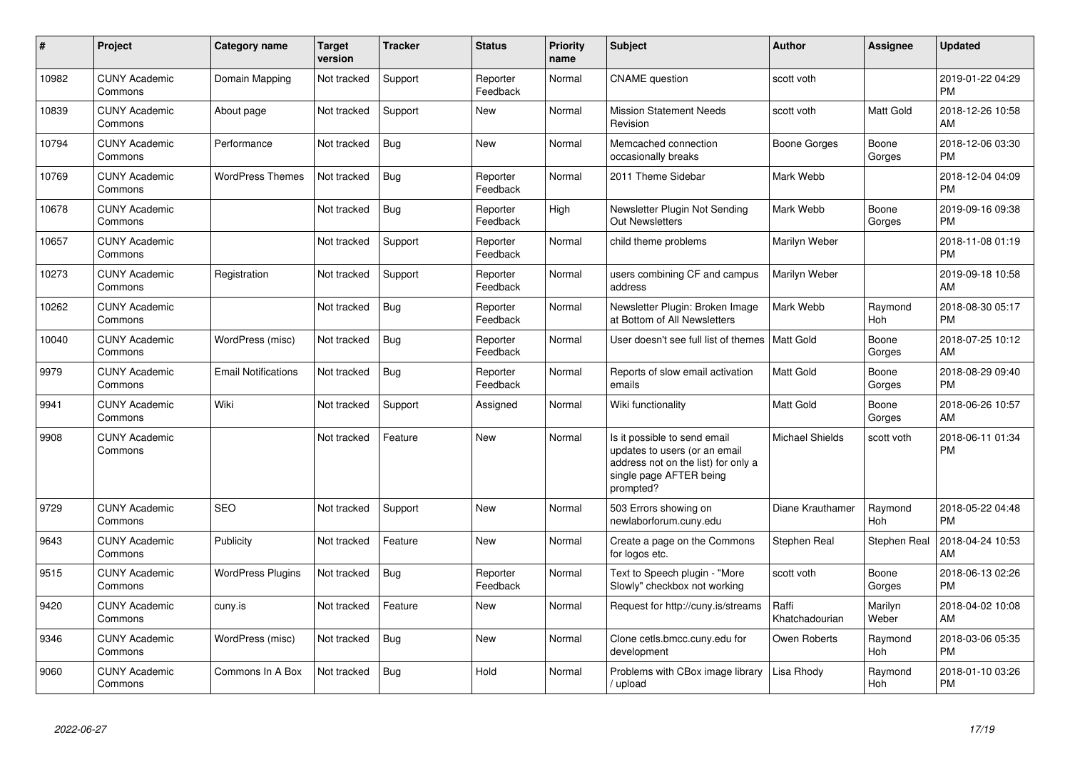| #     | Project                         | <b>Category name</b>       | <b>Target</b><br>version | <b>Tracker</b> | <b>Status</b>        | <b>Priority</b><br>name | <b>Subject</b>                                                                                                                               | <b>Author</b>           | <b>Assignee</b>  | <b>Updated</b>                |
|-------|---------------------------------|----------------------------|--------------------------|----------------|----------------------|-------------------------|----------------------------------------------------------------------------------------------------------------------------------------------|-------------------------|------------------|-------------------------------|
| 10982 | <b>CUNY Academic</b><br>Commons | Domain Mapping             | Not tracked              | Support        | Reporter<br>Feedback | Normal                  | <b>CNAME</b> question                                                                                                                        | scott voth              |                  | 2019-01-22 04:29<br><b>PM</b> |
| 10839 | <b>CUNY Academic</b><br>Commons | About page                 | Not tracked              | Support        | <b>New</b>           | Normal                  | <b>Mission Statement Needs</b><br>Revision                                                                                                   | scott voth              | <b>Matt Gold</b> | 2018-12-26 10:58<br>AM        |
| 10794 | <b>CUNY Academic</b><br>Commons | Performance                | Not tracked              | <b>Bug</b>     | <b>New</b>           | Normal                  | Memcached connection<br>occasionally breaks                                                                                                  | Boone Gorges            | Boone<br>Gorges  | 2018-12-06 03:30<br><b>PM</b> |
| 10769 | <b>CUNY Academic</b><br>Commons | <b>WordPress Themes</b>    | Not tracked              | <b>Bug</b>     | Reporter<br>Feedback | Normal                  | 2011 Theme Sidebar                                                                                                                           | Mark Webb               |                  | 2018-12-04 04:09<br><b>PM</b> |
| 10678 | <b>CUNY Academic</b><br>Commons |                            | Not tracked              | Bug            | Reporter<br>Feedback | High                    | Newsletter Plugin Not Sending<br><b>Out Newsletters</b>                                                                                      | Mark Webb               | Boone<br>Gorges  | 2019-09-16 09:38<br><b>PM</b> |
| 10657 | <b>CUNY Academic</b><br>Commons |                            | Not tracked              | Support        | Reporter<br>Feedback | Normal                  | child theme problems                                                                                                                         | Marilyn Weber           |                  | 2018-11-08 01:19<br><b>PM</b> |
| 10273 | <b>CUNY Academic</b><br>Commons | Registration               | Not tracked              | Support        | Reporter<br>Feedback | Normal                  | users combining CF and campus<br>address                                                                                                     | Marilyn Weber           |                  | 2019-09-18 10:58<br>AM        |
| 10262 | <b>CUNY Academic</b><br>Commons |                            | Not tracked              | Bug            | Reporter<br>Feedback | Normal                  | Newsletter Plugin: Broken Image<br>at Bottom of All Newsletters                                                                              | Mark Webb               | Raymond<br>Hoh   | 2018-08-30 05:17<br><b>PM</b> |
| 10040 | <b>CUNY Academic</b><br>Commons | WordPress (misc)           | Not tracked              | Bug            | Reporter<br>Feedback | Normal                  | User doesn't see full list of themes                                                                                                         | <b>Matt Gold</b>        | Boone<br>Gorges  | 2018-07-25 10:12<br>AM        |
| 9979  | <b>CUNY Academic</b><br>Commons | <b>Email Notifications</b> | Not tracked              | <b>Bug</b>     | Reporter<br>Feedback | Normal                  | Reports of slow email activation<br>emails                                                                                                   | <b>Matt Gold</b>        | Boone<br>Gorges  | 2018-08-29 09:40<br><b>PM</b> |
| 9941  | <b>CUNY Academic</b><br>Commons | Wiki                       | Not tracked              | Support        | Assigned             | Normal                  | Wiki functionality                                                                                                                           | <b>Matt Gold</b>        | Boone<br>Gorges  | 2018-06-26 10:57<br>AM        |
| 9908  | <b>CUNY Academic</b><br>Commons |                            | Not tracked              | Feature        | <b>New</b>           | Normal                  | Is it possible to send email<br>updates to users (or an email<br>address not on the list) for only a<br>single page AFTER being<br>prompted? | <b>Michael Shields</b>  | scott voth       | 2018-06-11 01:34<br><b>PM</b> |
| 9729  | <b>CUNY Academic</b><br>Commons | <b>SEO</b>                 | Not tracked              | Support        | New                  | Normal                  | 503 Errors showing on<br>newlaborforum.cuny.edu                                                                                              | Diane Krauthamer        | Raymond<br>Hoh   | 2018-05-22 04:48<br><b>PM</b> |
| 9643  | <b>CUNY Academic</b><br>Commons | Publicity                  | Not tracked              | Feature        | New                  | Normal                  | Create a page on the Commons<br>for logos etc.                                                                                               | Stephen Real            | Stephen Real     | 2018-04-24 10:53<br>AM        |
| 9515  | <b>CUNY Academic</b><br>Commons | <b>WordPress Plugins</b>   | Not tracked              | Bug            | Reporter<br>Feedback | Normal                  | Text to Speech plugin - "More<br>Slowly" checkbox not working                                                                                | scott voth              | Boone<br>Gorges  | 2018-06-13 02:26<br><b>PM</b> |
| 9420  | <b>CUNY Academic</b><br>Commons | cuny.is                    | Not tracked              | Feature        | <b>New</b>           | Normal                  | Request for http://cuny.is/streams                                                                                                           | Raffi<br>Khatchadourian | Marilyn<br>Weber | 2018-04-02 10:08<br>AM        |
| 9346  | <b>CUNY Academic</b><br>Commons | WordPress (misc)           | Not tracked              | Bug            | <b>New</b>           | Normal                  | Clone cetls.bmcc.cuny.edu for<br>development                                                                                                 | Owen Roberts            | Raymond<br>Hoh   | 2018-03-06 05:35<br><b>PM</b> |
| 9060  | <b>CUNY Academic</b><br>Commons | Commons In A Box           | Not tracked              | <b>Bug</b>     | Hold                 | Normal                  | Problems with CBox image library<br>/ upload                                                                                                 | Lisa Rhody              | Raymond<br>Hoh   | 2018-01-10 03:26<br>PM        |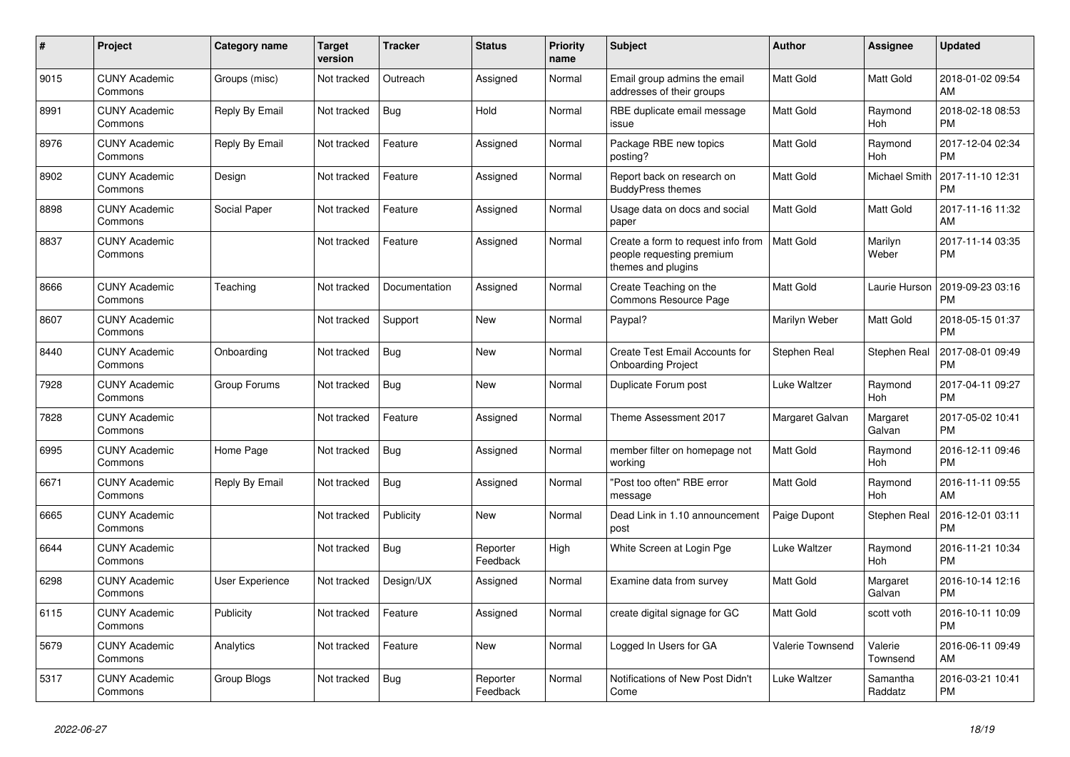| $\#$ | Project                         | Category name   | <b>Target</b><br>version | <b>Tracker</b> | <b>Status</b>        | Priority<br>name | <b>Subject</b>                                                                        | <b>Author</b>    | <b>Assignee</b>     | <b>Updated</b>                |
|------|---------------------------------|-----------------|--------------------------|----------------|----------------------|------------------|---------------------------------------------------------------------------------------|------------------|---------------------|-------------------------------|
| 9015 | <b>CUNY Academic</b><br>Commons | Groups (misc)   | Not tracked              | Outreach       | Assigned             | Normal           | Email group admins the email<br>addresses of their groups                             | Matt Gold        | Matt Gold           | 2018-01-02 09:54<br>AM        |
| 8991 | <b>CUNY Academic</b><br>Commons | Reply By Email  | Not tracked              | Bug            | Hold                 | Normal           | RBE duplicate email message<br>issue                                                  | Matt Gold        | Raymond<br>Hoh      | 2018-02-18 08:53<br><b>PM</b> |
| 8976 | <b>CUNY Academic</b><br>Commons | Reply By Email  | Not tracked              | Feature        | Assigned             | Normal           | Package RBE new topics<br>posting?                                                    | Matt Gold        | Raymond<br>Hoh      | 2017-12-04 02:34<br><b>PM</b> |
| 8902 | <b>CUNY Academic</b><br>Commons | Design          | Not tracked              | Feature        | Assigned             | Normal           | Report back on research on<br><b>BuddyPress themes</b>                                | Matt Gold        | Michael Smith       | 2017-11-10 12:31<br><b>PM</b> |
| 8898 | <b>CUNY Academic</b><br>Commons | Social Paper    | Not tracked              | Feature        | Assigned             | Normal           | Usage data on docs and social<br>paper                                                | Matt Gold        | Matt Gold           | 2017-11-16 11:32<br>AM        |
| 8837 | <b>CUNY Academic</b><br>Commons |                 | Not tracked              | Feature        | Assigned             | Normal           | Create a form to request info from<br>people requesting premium<br>themes and plugins | <b>Matt Gold</b> | Marilyn<br>Weber    | 2017-11-14 03:35<br><b>PM</b> |
| 8666 | <b>CUNY Academic</b><br>Commons | Teaching        | Not tracked              | Documentation  | Assigned             | Normal           | Create Teaching on the<br>Commons Resource Page                                       | Matt Gold        | Laurie Hurson       | 2019-09-23 03:16<br><b>PM</b> |
| 8607 | <b>CUNY Academic</b><br>Commons |                 | Not tracked              | Support        | <b>New</b>           | Normal           | Paypal?                                                                               | Marilyn Weber    | Matt Gold           | 2018-05-15 01:37<br><b>PM</b> |
| 8440 | <b>CUNY Academic</b><br>Commons | Onboarding      | Not tracked              | <b>Bug</b>     | New                  | Normal           | Create Test Email Accounts for<br><b>Onboarding Project</b>                           | Stephen Real     | Stephen Real        | 2017-08-01 09:49<br><b>PM</b> |
| 7928 | <b>CUNY Academic</b><br>Commons | Group Forums    | Not tracked              | <b>Bug</b>     | <b>New</b>           | Normal           | Duplicate Forum post                                                                  | Luke Waltzer     | Raymond<br>Hoh      | 2017-04-11 09:27<br><b>PM</b> |
| 7828 | <b>CUNY Academic</b><br>Commons |                 | Not tracked              | Feature        | Assigned             | Normal           | Theme Assessment 2017                                                                 | Margaret Galvan  | Margaret<br>Galvan  | 2017-05-02 10:41<br><b>PM</b> |
| 6995 | <b>CUNY Academic</b><br>Commons | Home Page       | Not tracked              | <b>Bug</b>     | Assigned             | Normal           | member filter on homepage not<br>working                                              | <b>Matt Gold</b> | Raymond<br>Hoh      | 2016-12-11 09:46<br><b>PM</b> |
| 6671 | <b>CUNY Academic</b><br>Commons | Reply By Email  | Not tracked              | <b>Bug</b>     | Assigned             | Normal           | "Post too often" RBE error<br>message                                                 | Matt Gold        | Raymond<br>Hoh      | 2016-11-11 09:55<br>AM        |
| 6665 | <b>CUNY Academic</b><br>Commons |                 | Not tracked              | Publicity      | <b>New</b>           | Normal           | Dead Link in 1.10 announcement<br>post                                                | Paige Dupont     | Stephen Real        | 2016-12-01 03:11<br>PM        |
| 6644 | <b>CUNY Academic</b><br>Commons |                 | Not tracked              | Bug            | Reporter<br>Feedback | High             | White Screen at Login Pge                                                             | Luke Waltzer     | Raymond<br>Hoh      | 2016-11-21 10:34<br><b>PM</b> |
| 6298 | <b>CUNY Academic</b><br>Commons | User Experience | Not tracked              | Design/UX      | Assigned             | Normal           | Examine data from survey                                                              | Matt Gold        | Margaret<br>Galvan  | 2016-10-14 12:16<br><b>PM</b> |
| 6115 | <b>CUNY Academic</b><br>Commons | Publicity       | Not tracked              | Feature        | Assigned             | Normal           | create digital signage for GC                                                         | Matt Gold        | scott voth          | 2016-10-11 10:09<br><b>PM</b> |
| 5679 | <b>CUNY Academic</b><br>Commons | Analytics       | Not tracked              | Feature        | <b>New</b>           | Normal           | Logged In Users for GA                                                                | Valerie Townsend | Valerie<br>Townsend | 2016-06-11 09:49<br>AM        |
| 5317 | <b>CUNY Academic</b><br>Commons | Group Blogs     | Not tracked              | <b>Bug</b>     | Reporter<br>Feedback | Normal           | Notifications of New Post Didn't<br>Come                                              | Luke Waltzer     | Samantha<br>Raddatz | 2016-03-21 10:41<br><b>PM</b> |